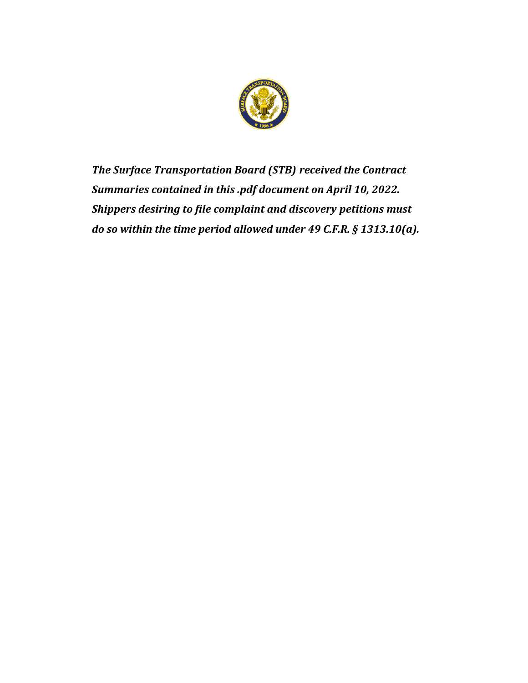

*The Surface Transportation Board (STB) received the Contract Summaries contained in this .pdf document on April 10, 2022. Shippers desiring to file complaint and discovery petitions must do so within the time period allowed under 49 C.F.R. § 1313.10(a).*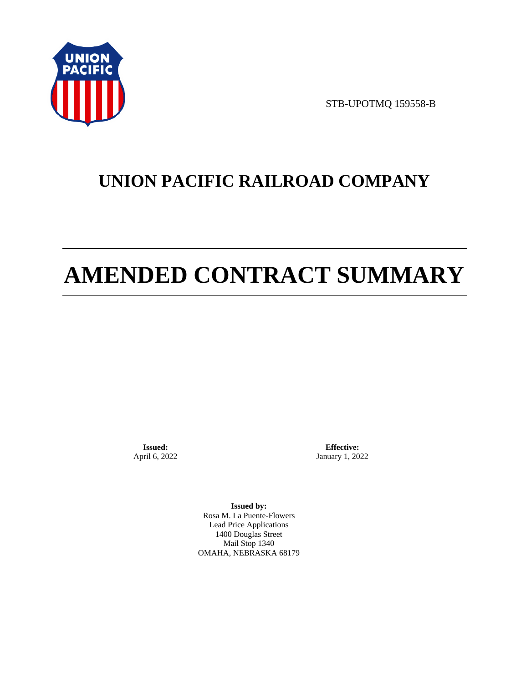

STB-UPOTMQ 159558-B

# **UNION PACIFIC RAILROAD COMPANY**

# **AMENDED CONTRACT SUMMARY**

**Issued:**  April 6, 2022

**Effective:** January 1, 2022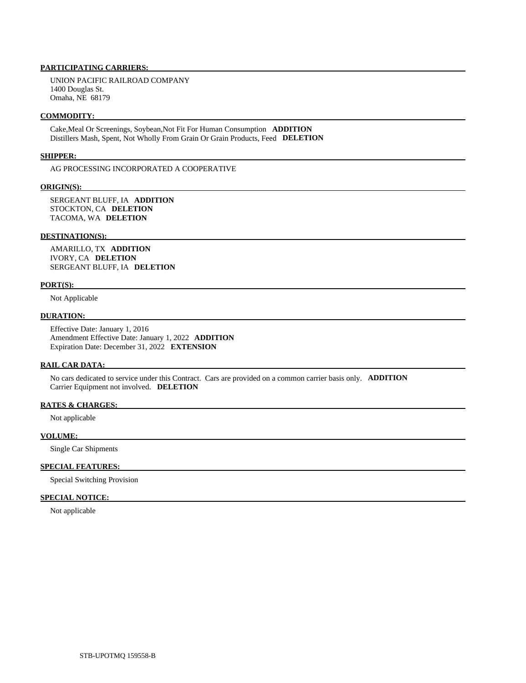UNION PACIFIC RAILROAD COMPANY 1400 Douglas St. Omaha, NE 68179

#### **COMMODITY:**

 Cake,Meal Or Screenings, Soybean,Not Fit For Human Consumption **ADDITION**  Distillers Mash, Spent, Not Wholly From Grain Or Grain Products, Feed **DELETION** 

#### **SHIPPER:**

AG PROCESSING INCORPORATED A COOPERATIVE

## **ORIGIN(S):**

 SERGEANT BLUFF, IA **ADDITION**  STOCKTON, CA **DELETION**  TACOMA, WA **DELETION** 

#### **DESTINATION(S):**

 AMARILLO, TX **ADDITION**  IVORY, CA **DELETION**  SERGEANT BLUFF, IA **DELETION** 

#### **PORT(S):**

Not Applicable

# **DURATION:**

 Effective Date: January 1, 2016 Amendment Effective Date: January 1, 2022 **ADDITION**  Expiration Date: December 31, 2022 **EXTENSION** 

#### **RAIL CAR DATA:**

 No cars dedicated to service under this Contract. Cars are provided on a common carrier basis only. **ADDITION**  Carrier Equipment not involved. **DELETION** 

# **RATES & CHARGES:**

Not applicable

# **VOLUME:**

Single Car Shipments

# **SPECIAL FEATURES:**

Special Switching Provision

# **SPECIAL NOTICE:**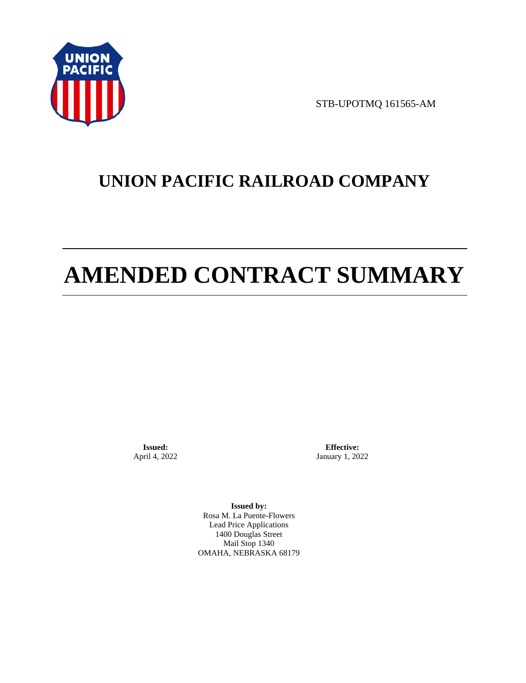

STB-UPOTMQ 161565-AM

# **UNION PACIFIC RAILROAD COMPANY**

# **AMENDED CONTRACT SUMMARY**

**Issued:**  April 4, 2022

**Effective:** January 1, 2022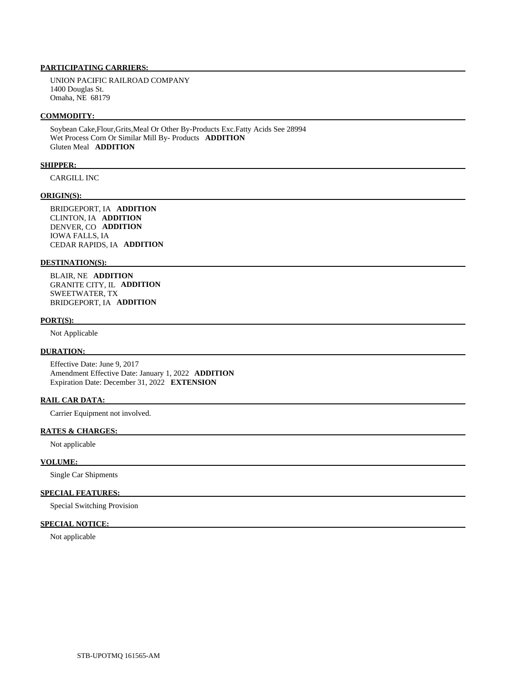UNION PACIFIC RAILROAD COMPANY 1400 Douglas St. Omaha, NE 68179

## **COMMODITY:**

 Soybean Cake,Flour,Grits,Meal Or Other By-Products Exc.Fatty Acids See 28994 Wet Process Corn Or Similar Mill By- Products **ADDITION**  Gluten Meal **ADDITION** 

# **SHIPPER:**

CARGILL INC

# **ORIGIN(S):**

 BRIDGEPORT, IA **ADDITION**  CLINTON, IA **ADDITION**  DENVER, CO **ADDITION**  IOWA FALLS, IA CEDAR RAPIDS, IA **ADDITION** 

### **DESTINATION(S):**

 BLAIR, NE **ADDITION**  GRANITE CITY, IL **ADDITION**  SWEETWATER, TX BRIDGEPORT, IA **ADDITION** 

# **PORT(S):**

Not Applicable

# **DURATION:**

 Effective Date: June 9, 2017 Amendment Effective Date: January 1, 2022 **ADDITION**  Expiration Date: December 31, 2022 **EXTENSION** 

# **RAIL CAR DATA:**

Carrier Equipment not involved.

## **RATES & CHARGES:**

Not applicable

# **VOLUME:**

Single Car Shipments

# **SPECIAL FEATURES:**

Special Switching Provision

# **SPECIAL NOTICE:**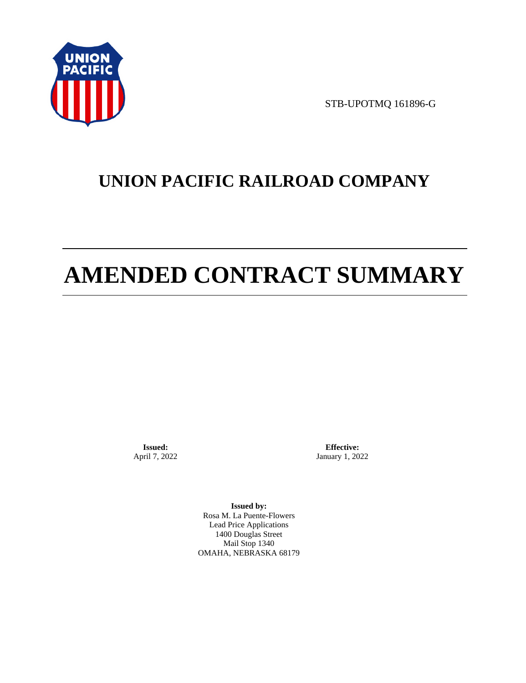

STB-UPOTMQ 161896-G

# **UNION PACIFIC RAILROAD COMPANY**

# **AMENDED CONTRACT SUMMARY**

**Issued:**  April 7, 2022

**Effective:** January 1, 2022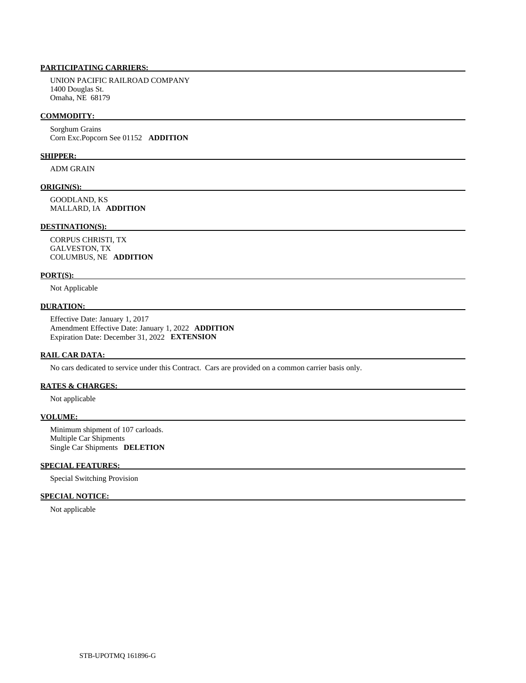UNION PACIFIC RAILROAD COMPANY 1400 Douglas St. Omaha, NE 68179

# **COMMODITY:**

 Sorghum Grains Corn Exc.Popcorn See 01152 **ADDITION** 

#### **SHIPPER:**

ADM GRAIN

# **ORIGIN(S):**

 GOODLAND, KS MALLARD, IA **ADDITION** 

# **DESTINATION(S):**

 CORPUS CHRISTI, TX GALVESTON, TX COLUMBUS, NE **ADDITION** 

#### **PORT(S):**

Not Applicable

# **DURATION:**

 Effective Date: January 1, 2017 Amendment Effective Date: January 1, 2022 **ADDITION**  Expiration Date: December 31, 2022 **EXTENSION** 

# **RAIL CAR DATA:**

No cars dedicated to service under this Contract. Cars are provided on a common carrier basis only.

# **RATES & CHARGES:**

Not applicable

# **VOLUME:**

 Minimum shipment of 107 carloads. Multiple Car Shipments Single Car Shipments **DELETION** 

## **SPECIAL FEATURES:**

Special Switching Provision

# **SPECIAL NOTICE:**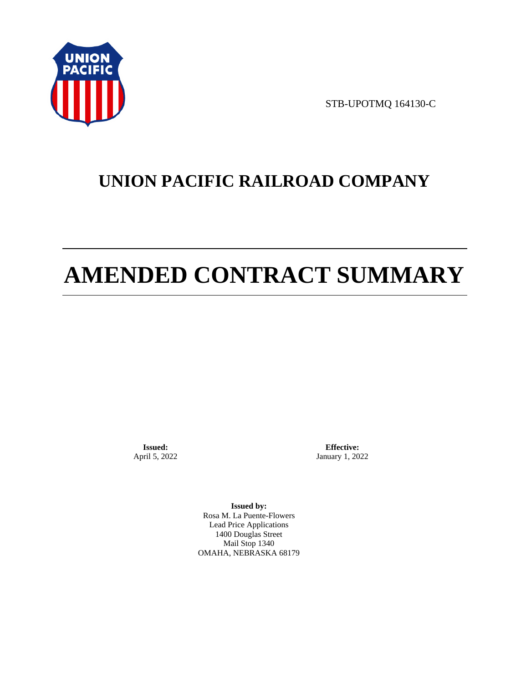

STB-UPOTMQ 164130-C

# **UNION PACIFIC RAILROAD COMPANY**

# **AMENDED CONTRACT SUMMARY**

**Issued:**  April 5, 2022

**Effective:** January 1, 2022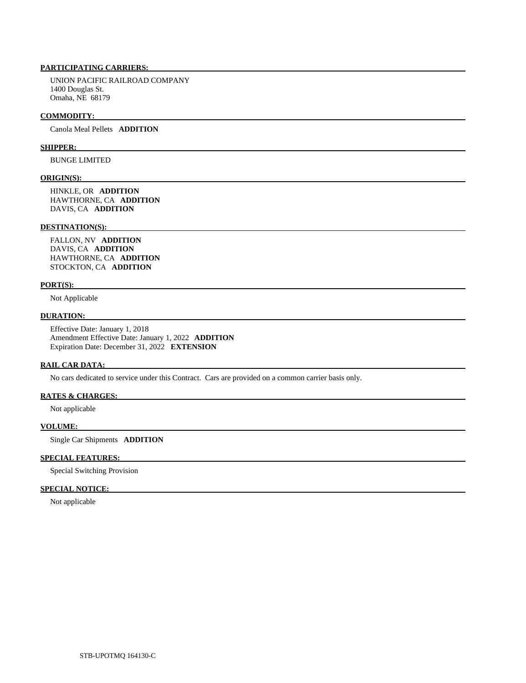UNION PACIFIC RAILROAD COMPANY 1400 Douglas St. Omaha, NE 68179

#### **COMMODITY:**

Canola Meal Pellets **ADDITION** 

# **SHIPPER:**

BUNGE LIMITED

#### **ORIGIN(S):**

 HINKLE, OR **ADDITION**  HAWTHORNE, CA **ADDITION**  DAVIS, CA **ADDITION** 

## **DESTINATION(S):**

 FALLON, NV **ADDITION**  DAVIS, CA **ADDITION**  HAWTHORNE, CA **ADDITION**  STOCKTON, CA **ADDITION** 

### **PORT(S):**

Not Applicable

# **DURATION:**

 Effective Date: January 1, 2018 Amendment Effective Date: January 1, 2022 **ADDITION**  Expiration Date: December 31, 2022 **EXTENSION** 

## **RAIL CAR DATA:**

No cars dedicated to service under this Contract. Cars are provided on a common carrier basis only.

## **RATES & CHARGES:**

Not applicable

# **VOLUME:**

Single Car Shipments **ADDITION** 

# **SPECIAL FEATURES:**

Special Switching Provision

# **SPECIAL NOTICE:**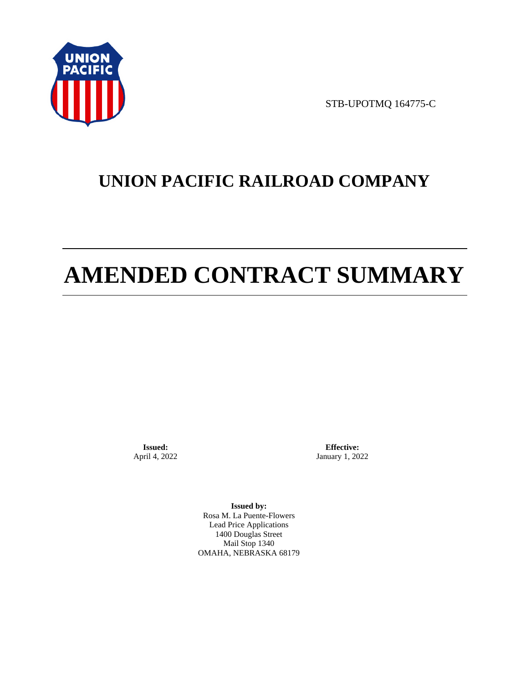

STB-UPOTMQ 164775-C

# **UNION PACIFIC RAILROAD COMPANY**

# **AMENDED CONTRACT SUMMARY**

**Issued:**  April 4, 2022

**Effective:** January 1, 2022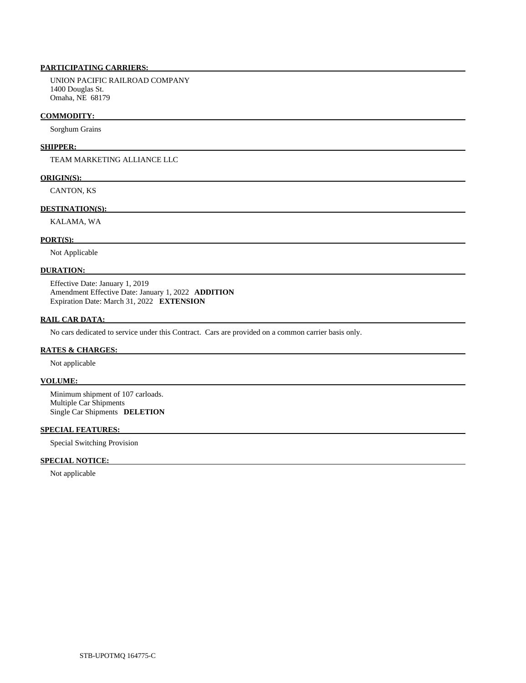UNION PACIFIC RAILROAD COMPANY 1400 Douglas St. Omaha, NE 68179

## **COMMODITY:**

Sorghum Grains

# **SHIPPER:**

TEAM MARKETING ALLIANCE LLC

## **ORIGIN(S):**

CANTON, KS

# **DESTINATION(S):**

KALAMA, WA

# **PORT(S):**

Not Applicable

# **DURATION:**

 Effective Date: January 1, 2019 Amendment Effective Date: January 1, 2022 **ADDITION**  Expiration Date: March 31, 2022 **EXTENSION** 

# **RAIL CAR DATA:**

No cars dedicated to service under this Contract. Cars are provided on a common carrier basis only.

# **RATES & CHARGES:**

Not applicable

# **VOLUME:**

 Minimum shipment of 107 carloads. Multiple Car Shipments Single Car Shipments **DELETION** 

# **SPECIAL FEATURES:**

Special Switching Provision

# **SPECIAL NOTICE:**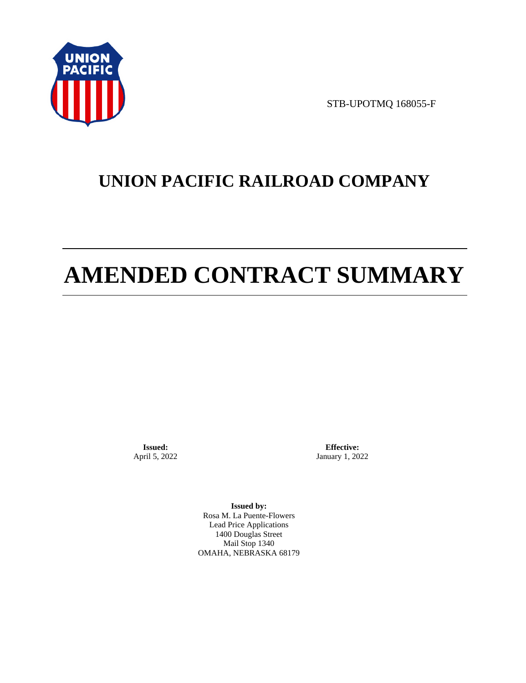

STB-UPOTMQ 168055-F

# **UNION PACIFIC RAILROAD COMPANY**

# **AMENDED CONTRACT SUMMARY**

**Issued:**  April 5, 2022

**Effective:** January 1, 2022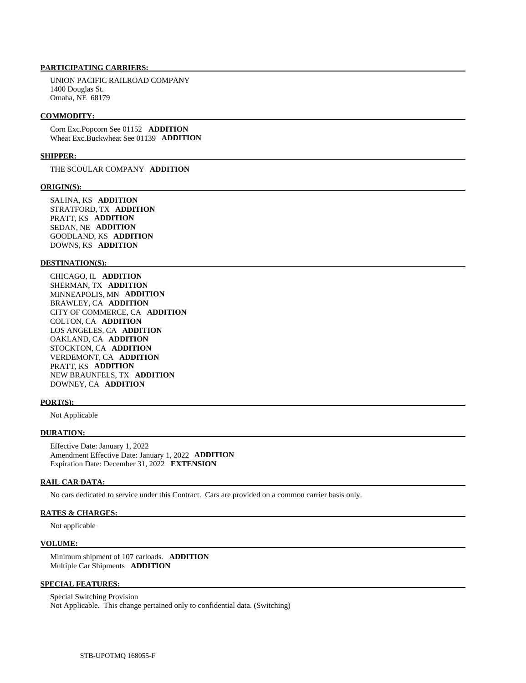UNION PACIFIC RAILROAD COMPANY 1400 Douglas St. Omaha, NE 68179

#### **COMMODITY:**

 Corn Exc.Popcorn See 01152 **ADDITION**  Wheat Exc.Buckwheat See 01139 **ADDITION** 

#### **SHIPPER:**

THE SCOULAR COMPANY **ADDITION** 

#### **ORIGIN(S):**

 SALINA, KS **ADDITION**  STRATFORD, TX **ADDITION**  PRATT, KS **ADDITION**  SEDAN, NE **ADDITION**  GOODLAND, KS **ADDITION**  DOWNS, KS **ADDITION** 

### **DESTINATION(S):**

 CHICAGO, IL **ADDITION**  SHERMAN, TX **ADDITION**  MINNEAPOLIS, MN **ADDITION**  BRAWLEY, CA **ADDITION**  CITY OF COMMERCE, CA **ADDITION**  COLTON, CA **ADDITION**  LOS ANGELES, CA **ADDITION**  OAKLAND, CA **ADDITION**  STOCKTON, CA **ADDITION**  VERDEMONT, CA **ADDITION**  PRATT, KS **ADDITION**  NEW BRAUNFELS, TX **ADDITION**  DOWNEY, CA **ADDITION** 

#### **PORT(S):**

Not Applicable

# **DURATION:**

 Effective Date: January 1, 2022 Amendment Effective Date: January 1, 2022 **ADDITION**  Expiration Date: December 31, 2022 **EXTENSION** 

#### **RAIL CAR DATA:**

No cars dedicated to service under this Contract. Cars are provided on a common carrier basis only.

# **RATES & CHARGES:**

Not applicable

#### **VOLUME:**

 Minimum shipment of 107 carloads. **ADDITION**  Multiple Car Shipments **ADDITION** 

## **SPECIAL FEATURES:**

 Special Switching Provision Not Applicable. This change pertained only to confidential data. (Switching)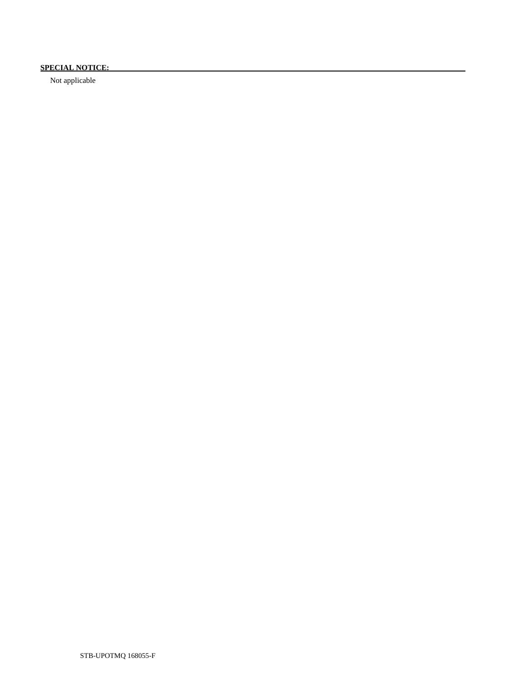# **SPECIAL NOTICE:**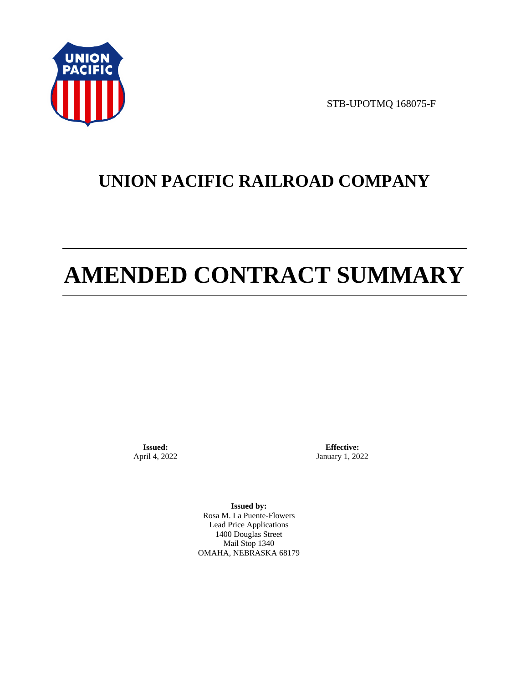

STB-UPOTMQ 168075-F

# **UNION PACIFIC RAILROAD COMPANY**

# **AMENDED CONTRACT SUMMARY**

**Issued:**  April 4, 2022

**Effective:** January 1, 2022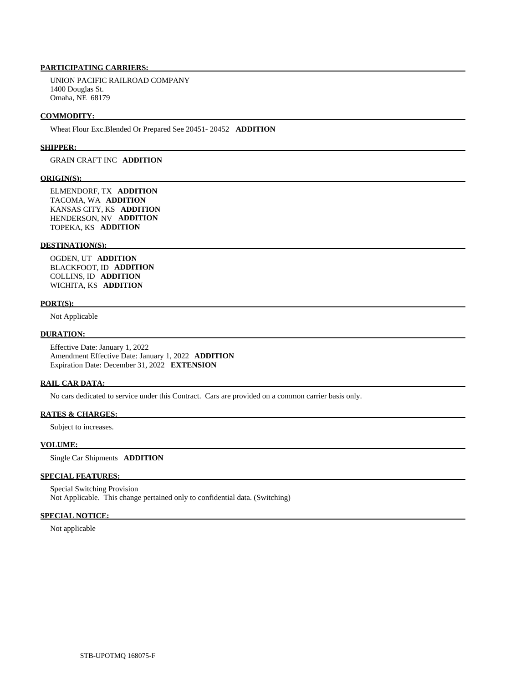UNION PACIFIC RAILROAD COMPANY 1400 Douglas St. Omaha, NE 68179

#### **COMMODITY:**

Wheat Flour Exc.Blended Or Prepared See 20451- 20452 **ADDITION** 

#### **SHIPPER:**

# GRAIN CRAFT INC **ADDITION**

## **ORIGIN(S):**

 ELMENDORF, TX **ADDITION**  TACOMA, WA **ADDITION**  KANSAS CITY, KS **ADDITION**  HENDERSON, NV **ADDITION**  TOPEKA, KS **ADDITION** 

# **DESTINATION(S):**

 OGDEN, UT **ADDITION**  BLACKFOOT, ID **ADDITION**  COLLINS, ID **ADDITION**  WICHITA, KS **ADDITION** 

#### **PORT(S):**

Not Applicable

### **DURATION:**

 Effective Date: January 1, 2022 Amendment Effective Date: January 1, 2022 **ADDITION**  Expiration Date: December 31, 2022 **EXTENSION** 

# **RAIL CAR DATA:**

No cars dedicated to service under this Contract. Cars are provided on a common carrier basis only.

# **RATES & CHARGES:**

Subject to increases.

#### **VOLUME:**

Single Car Shipments **ADDITION** 

# **SPECIAL FEATURES:**

 Special Switching Provision Not Applicable. This change pertained only to confidential data. (Switching)

# **SPECIAL NOTICE:**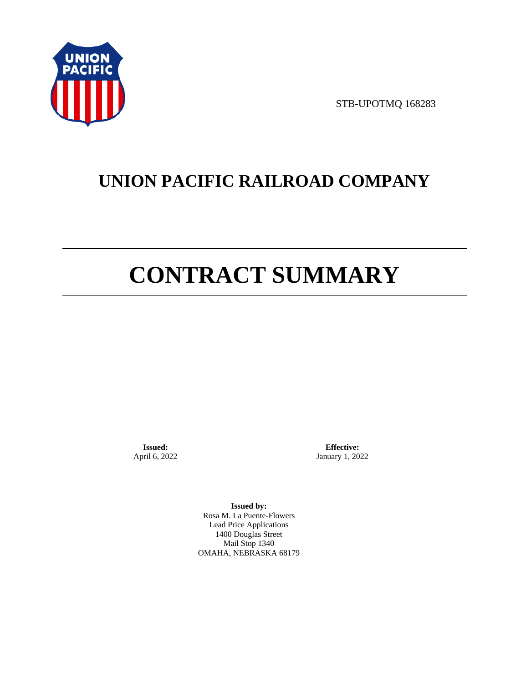

STB-UPOTMQ 168283

# **UNION PACIFIC RAILROAD COMPANY**

# **CONTRACT SUMMARY**

**Issued:**  April 6, 2022

**Effective:** January 1, 2022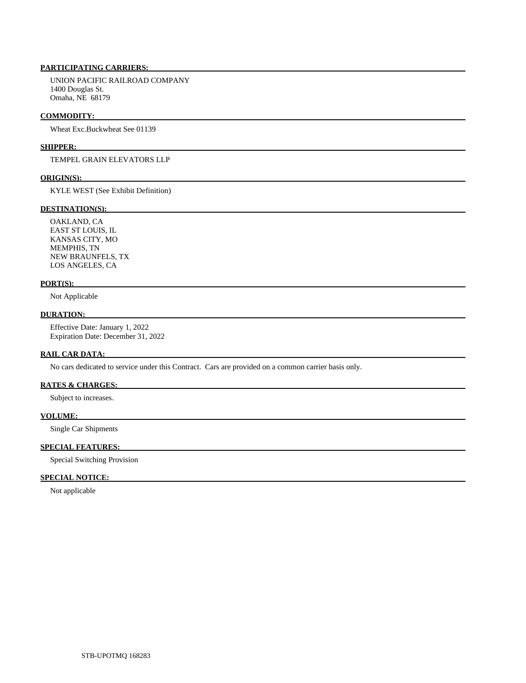UNION PACIFIC RAILROAD COMPANY 1400 Douglas St. Omaha, NE 68179

### **COMMODITY:**

Wheat Exc.Buckwheat See 01139

# **SHIPPER:**

TEMPEL GRAIN ELEVATORS LLP

#### **ORIGIN(S):**

KYLE WEST (See Exhibit Definition)

# **DESTINATION(S):**

 OAKLAND, CA EAST ST LOUIS, IL KANSAS CITY, MO MEMPHIS, TN NEW BRAUNFELS, TX LOS ANGELES, CA

## **PORT(S):**

Not Applicable

# **DURATION:**

 Effective Date: January 1, 2022 Expiration Date: December 31, 2022

## **RAIL CAR DATA:**

No cars dedicated to service under this Contract. Cars are provided on a common carrier basis only.

# **RATES & CHARGES:**

Subject to increases.

### **VOLUME:**

Single Car Shipments

# **SPECIAL FEATURES:**

Special Switching Provision

# **SPECIAL NOTICE:**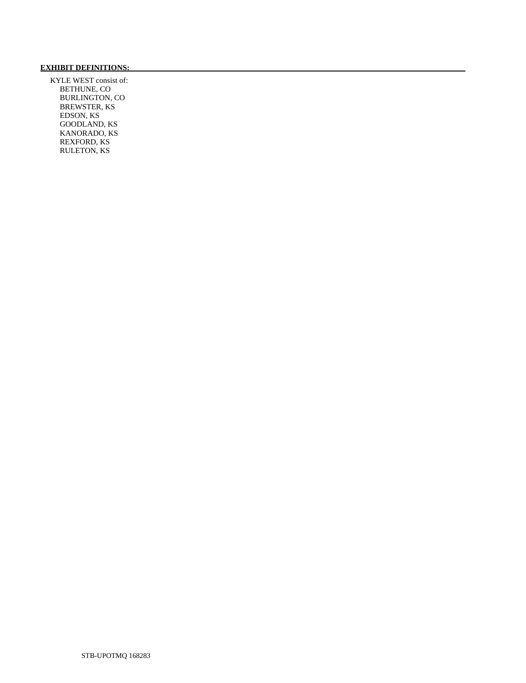# **EXHIBIT DEFINITIONS:**

 KYLE WEST consist of: BETHUNE, CO BURLINGTON, CO BREWSTER, KS EDSON, KS GOODLAND, KS KANORADO, KS REXFORD, KS RULETON, KS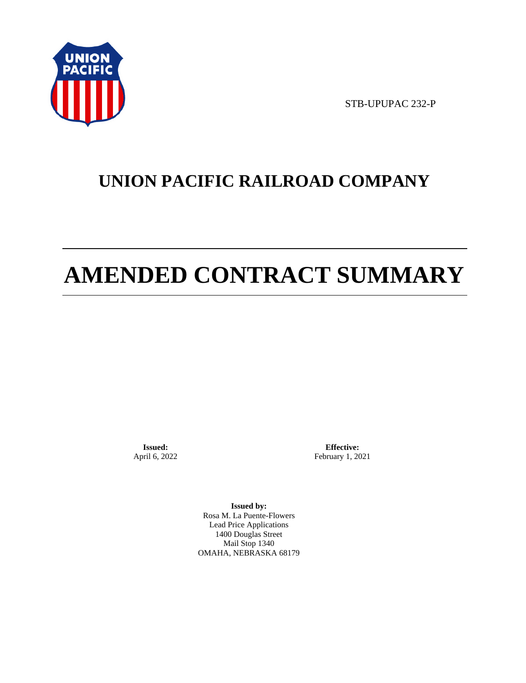

STB-UPUPAC 232-P

# **UNION PACIFIC RAILROAD COMPANY**

# **AMENDED CONTRACT SUMMARY**

**Issued:**  April 6, 2022

**Effective:** February 1, 2021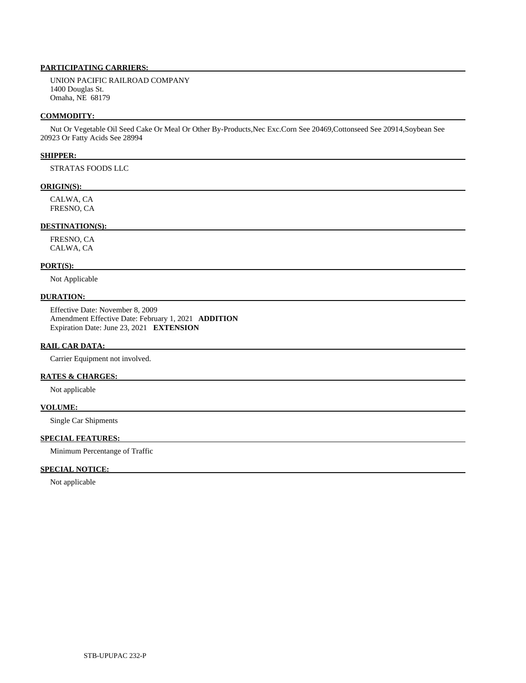UNION PACIFIC RAILROAD COMPANY 1400 Douglas St. Omaha, NE 68179

## **COMMODITY:**

 Nut Or Vegetable Oil Seed Cake Or Meal Or Other By-Products,Nec Exc.Corn See 20469,Cottonseed See 20914,Soybean See 20923 Or Fatty Acids See 28994

# **SHIPPER:**

STRATAS FOODS LLC

# **ORIGIN(S):**

 CALWA, CA FRESNO, CA

# **DESTINATION(S):**

 FRESNO, CA CALWA, CA

# **PORT(S):**

Not Applicable

# **DURATION:**

 Effective Date: November 8, 2009 Amendment Effective Date: February 1, 2021 **ADDITION**  Expiration Date: June 23, 2021 **EXTENSION** 

# **RAIL CAR DATA:**

Carrier Equipment not involved.

# **RATES & CHARGES:**

Not applicable

# **VOLUME:**

Single Car Shipments

# **SPECIAL FEATURES:**

Minimum Percentange of Traffic

# **SPECIAL NOTICE:**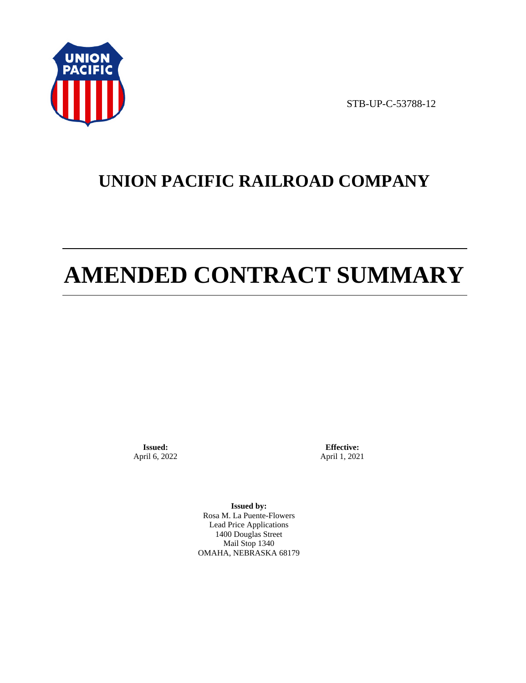

STB-UP-C-53788-12

# **UNION PACIFIC RAILROAD COMPANY**

# **AMENDED CONTRACT SUMMARY**

**Issued:**  April 6, 2022

**Effective:** April 1, 2021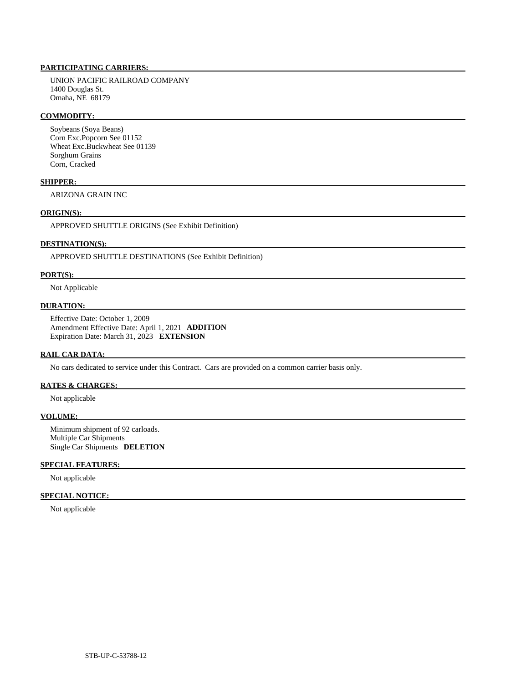UNION PACIFIC RAILROAD COMPANY 1400 Douglas St. Omaha, NE 68179

## **COMMODITY:**

 Soybeans (Soya Beans) Corn Exc.Popcorn See 01152 Wheat Exc.Buckwheat See 01139 Sorghum Grains Corn, Cracked

# **SHIPPER:**

ARIZONA GRAIN INC

# **ORIGIN(S):**

APPROVED SHUTTLE ORIGINS (See Exhibit Definition)

# **DESTINATION(S):**

APPROVED SHUTTLE DESTINATIONS (See Exhibit Definition)

# **PORT(S):**

Not Applicable

# **DURATION:**

 Effective Date: October 1, 2009 Amendment Effective Date: April 1, 2021 **ADDITION**  Expiration Date: March 31, 2023 **EXTENSION** 

#### **RAIL CAR DATA:**

No cars dedicated to service under this Contract. Cars are provided on a common carrier basis only.

# **RATES & CHARGES:**

Not applicable

### **VOLUME:**

 Minimum shipment of 92 carloads. Multiple Car Shipments Single Car Shipments **DELETION** 

# **SPECIAL FEATURES:**

Not applicable

# **SPECIAL NOTICE:**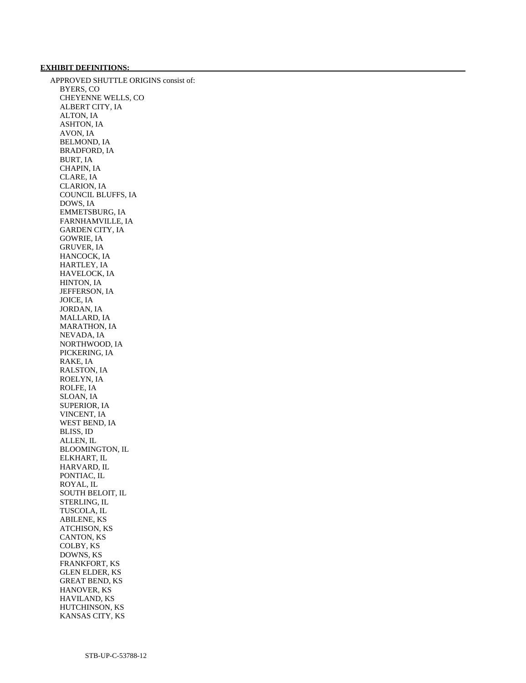# **EXHIBIT DEFINITIONS:**

 APPROVED SHUTTLE ORIGINS consist of: BYERS, CO CHEYENNE WELLS, CO ALBERT CITY, IA ALTON, IA ASHTON, IA AVON, IA BELMOND, IA BRADFORD, IA BURT, IA CHAPIN, IA CLARE, IA CLARION, IA COUNCIL BLUFFS, IA DOWS, IA EMMETSBURG, IA FARNHAMVILLE, IA GARDEN CITY, IA GOWRIE, IA GRUVER, IA HANCOCK, IA HARTLEY, IA HAVELOCK, IA HINTON, IA JEFFERSON, IA JOICE, IA JORDAN, IA MALLARD, IA MARATHON, IA NEVADA, IA NORTHWOOD, IA PICKERING, IA RAKE, IA RALSTON, IA ROELYN, IA ROLFE, IA SLOAN, IA SUPERIOR, IA VINCENT, IA WEST BEND, IA BLISS, ID ALLEN, IL BLOOMINGTON, IL ELKHART, IL HARVARD, IL PONTIAC, IL ROYAL, IL SOUTH BELOIT, IL STERLING, IL TUSCOLA, IL ABILENE, KS ATCHISON, KS CANTON, KS COLBY, KS DOWNS, KS FRANKFORT, KS GLEN ELDER, KS GREAT BEND, KS HANOVER, KS HAVILAND, KS HUTCHINSON, KS KANSAS CITY, KS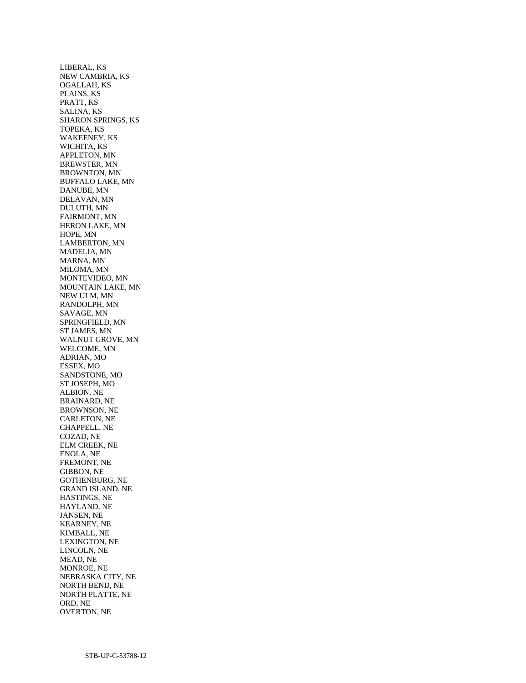LIBERAL, KS NEW CAMBRIA, KS OGALLAH, KS PLAINS, KS PRATT, KS SALINA, KS SHARON SPRINGS, KS TOPEKA, KS WAKEENEY, KS WICHITA, KS APPLETON, MN BREWSTER, MN BROWNTON, MN BUFFALO LAKE, MN DANUBE, MN DELAVAN, MN DULUTH, MN FAIRMONT, MN HERON LAKE, MN HOPE, MN LAMBERTON, MN MADELIA, MN MARNA, MN MILOMA, MN MONTEVIDEO, MN MOUNTAIN LAKE, MN NEW ULM, MN RANDOLPH, MN SAVAGE, MN SPRINGFIELD, MN ST JAMES, MN WALNUT GROVE, MN WELCOME, MN ADRIAN, MO ESSEX, MO SANDSTONE, MO ST JOSEPH, MO ALBION, NE BRAINARD, NE BROWNSON, NE CARLETON, NE CHAPPELL, NE COZAD, NE ELM CREEK, NE ENOLA, NE FREMONT, NE GIBBON, NE GOTHENBURG, NE GRAND ISLAND, NE HASTINGS, NE HAYLAND, NE JANSEN, NE KEARNEY, NE KIMBALL, NE LEXINGTON, NE LINCOLN, NE MEAD, NE MONROE, NE NEBRASKA CITY, NE NORTH BEND, NE NORTH PLATTE, NE ORD, NE OVERTON, NE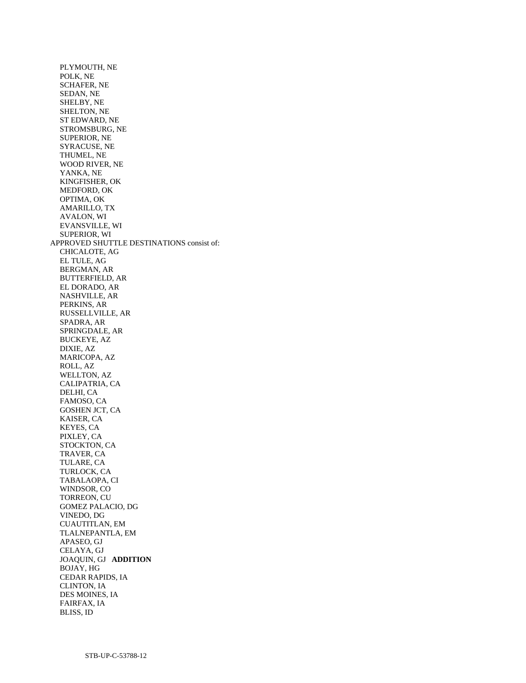PLYMOUTH, NE POLK, NE SCHAFER, NE SEDAN, NE SHELBY, NE SHELTON, NE ST EDWARD, NE STROMSBURG, NE SUPERIOR, NE SYRACUSE, NE THUMEL, NE WOOD RIVER, NE YANKA, NE KINGFISHER, OK MEDFORD, OK OPTIMA, OK AMARILLO, TX AVALON, WI EVANSVILLE, WI SUPERIOR, WI APPROVED SHUTTLE DESTINATIONS consist of: CHICALOTE, AG EL TULE, AG BERGMAN, AR BUTTERFIELD, AR EL DORADO, AR NASHVILLE, AR PERKINS, AR RUSSELLVILLE, AR SPADRA, AR SPRINGDALE, AR BUCKEYE, AZ DIXIE, AZ MARICOPA, AZ ROLL, AZ WELLTON, AZ CALIPATRIA, CA DELHI, CA FAMOSO, CA GOSHEN JCT, CA KAISER, CA KEYES, CA PIXLEY, CA STOCKTON, CA TRAVER, CA TULARE, CA TURLOCK, CA TABALAOPA, CI WINDSOR, CO TORREON, CU GOMEZ PALACIO, DG VINEDO, DG CUAUTITLAN, EM TLALNEPANTLA, EM APASEO, GJ CELAYA, GJ JOAQUIN, GJ **ADDITION**  BOJAY, HG CEDAR RAPIDS, IA CLINTON, IA DES MOINES, IA FAIRFAX, IA BLISS, ID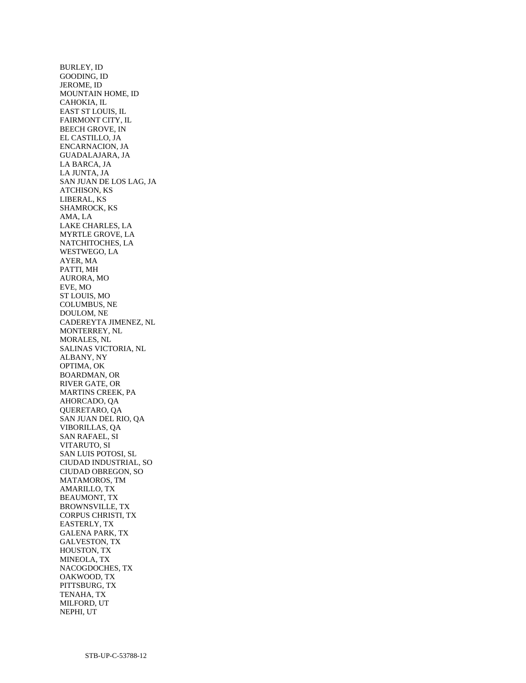BURLEY, ID GOODING, ID JEROME, ID MOUNTAIN HOME, ID CAHOKIA, IL EAST ST LOUIS, IL FAIRMONT CITY, IL BEECH GROVE, IN EL CASTILLO, JA ENCARNACION, JA GUADALAJARA, JA LA BARCA, JA LA JUNTA, JA SAN JUAN DE LOS LAG, JA ATCHISON, KS LIBERAL, KS SHAMROCK, KS AMA, LA LAKE CHARLES, LA MYRTLE GROVE, LA NATCHITOCHES, LA WESTWEGO, LA AYER, MA PATTI, MH AURORA, MO EVE, MO ST LOUIS, MO COLUMBUS, NE DOULOM, NE CADEREYTA JIMENEZ, NL MONTERREY, NL MORALES, NL SALINAS VICTORIA, NL ALBANY, NY OPTIMA, OK BOARDMAN, OR RIVER GATE, OR MARTINS CREEK, PA AHORCADO, QA QUERETARO, QA SAN JUAN DEL RIO, QA VIBORILLAS, QA SAN RAFAEL, SI VITARUTO, SI SAN LUIS POTOSI, SL CIUDAD INDUSTRIAL, SO CIUDAD OBREGON, SO MATAMOROS, TM AMARILLO, TX BEAUMONT, TX BROWNSVILLE, TX CORPUS CHRISTI, TX EASTERLY, TX GALENA PARK, TX GALVESTON, TX HOUSTON, TX MINEOLA, TX NACOGDOCHES, TX OAKWOOD, TX PITTSBURG, TX TENAHA, TX MILFORD, UT NEPHI, UT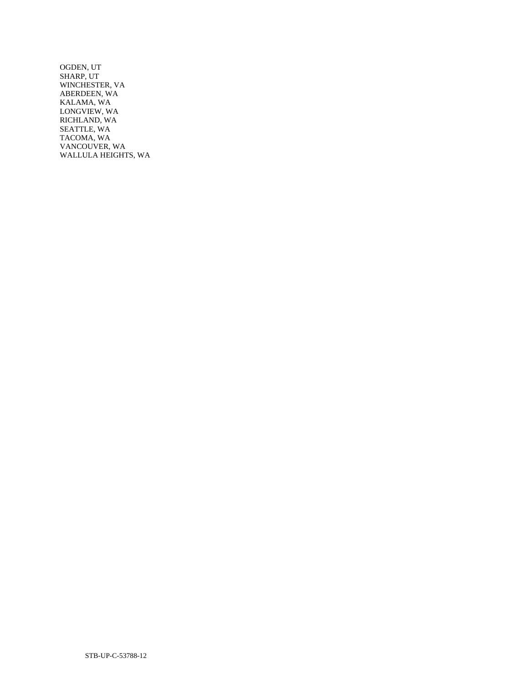OGDEN, UT SHARP, UT WINCHESTER, VA ABERDEEN, WA KALAMA, WA LONGVIEW, WA RICHLAND, WA SEATTLE, WA TACOMA, WA VANCOUVER, WA WALLULA HEIGHTS, WA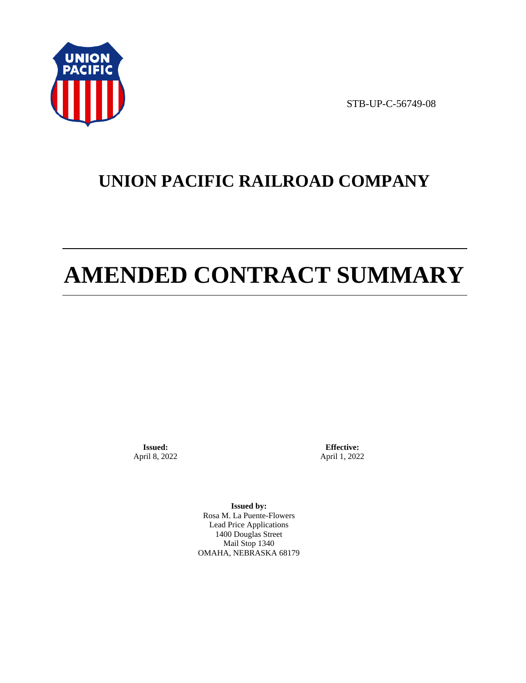

STB-UP-C-56749-08

# **UNION PACIFIC RAILROAD COMPANY**

# **AMENDED CONTRACT SUMMARY**

**Issued:**  April 8, 2022

**Effective:** April 1, 2022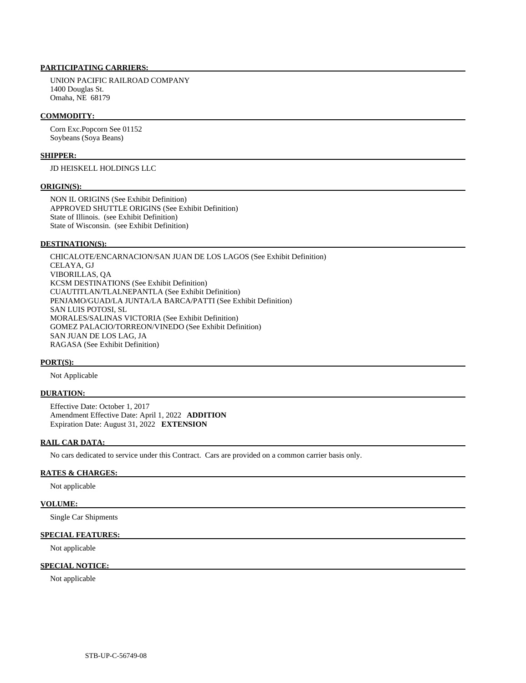UNION PACIFIC RAILROAD COMPANY 1400 Douglas St. Omaha, NE 68179

### **COMMODITY:**

 Corn Exc.Popcorn See 01152 Soybeans (Soya Beans)

### **SHIPPER:**

JD HEISKELL HOLDINGS LLC

#### **ORIGIN(S):**

 NON IL ORIGINS (See Exhibit Definition) APPROVED SHUTTLE ORIGINS (See Exhibit Definition) State of Illinois. (see Exhibit Definition) State of Wisconsin. (see Exhibit Definition)

# **DESTINATION(S):**

 CHICALOTE/ENCARNACION/SAN JUAN DE LOS LAGOS (See Exhibit Definition) CELAYA, GJ VIBORILLAS, QA KCSM DESTINATIONS (See Exhibit Definition) CUAUTITLAN/TLALNEPANTLA (See Exhibit Definition) PENJAMO/GUAD/LA JUNTA/LA BARCA/PATTI (See Exhibit Definition) SAN LUIS POTOSI, SL MORALES/SALINAS VICTORIA (See Exhibit Definition) GOMEZ PALACIO/TORREON/VINEDO (See Exhibit Definition) SAN JUAN DE LOS LAG, JA RAGASA (See Exhibit Definition)

### **PORT(S):**

Not Applicable

# **DURATION:**

 Effective Date: October 1, 2017 Amendment Effective Date: April 1, 2022 **ADDITION**  Expiration Date: August 31, 2022 **EXTENSION** 

# **RAIL CAR DATA:**

No cars dedicated to service under this Contract. Cars are provided on a common carrier basis only.

## **RATES & CHARGES:**

Not applicable

# **VOLUME:**

Single Car Shipments

# **SPECIAL FEATURES:**

Not applicable

# **SPECIAL NOTICE:**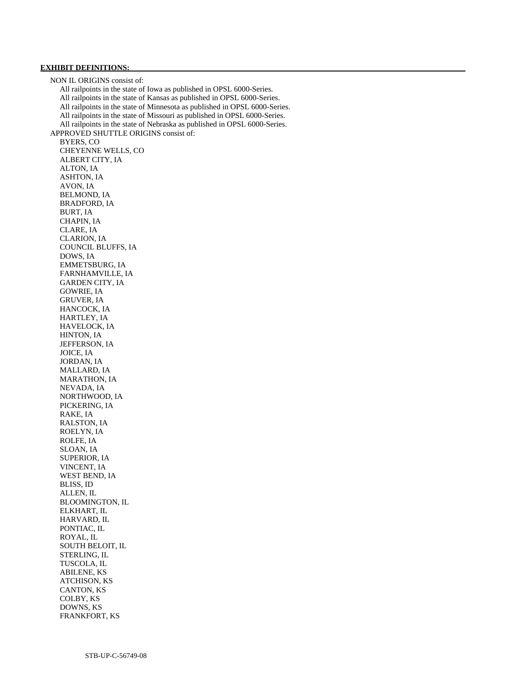# **EXHIBIT DEFINITIONS:**

 NON IL ORIGINS consist of: All railpoints in the state of Iowa as published in OPSL 6000-Series. All railpoints in the state of Kansas as published in OPSL 6000-Series. All railpoints in the state of Minnesota as published in OPSL 6000-Series. All railpoints in the state of Missouri as published in OPSL 6000-Series. All railpoints in the state of Nebraska as published in OPSL 6000-Series. APPROVED SHUTTLE ORIGINS consist of: BYERS, CO CHEYENNE WELLS, CO ALBERT CITY, IA ALTON, IA ASHTON, IA AVON, IA BELMOND, IA BRADFORD, IA BURT, IA CHAPIN, IA CLARE, IA CLARION, IA COUNCIL BLUFFS, IA DOWS, IA EMMETSBURG, IA FARNHAMVILLE, IA GARDEN CITY, IA GOWRIE, IA GRUVER, IA HANCOCK, IA HARTLEY, IA HAVELOCK, IA HINTON, IA JEFFERSON, IA JOICE, IA JORDAN, IA MALLARD, IA MARATHON, IA NEVADA, IA NORTHWOOD, IA PICKERING, IA RAKE, IA RALSTON, IA ROELYN, IA ROLFE, IA SLOAN, IA SUPERIOR, IA VINCENT, IA WEST BEND, IA BLISS, ID ALLEN, IL BLOOMINGTON, IL ELKHART, IL HARVARD, IL PONTIAC, IL ROYAL, IL SOUTH BELOIT, IL STERLING, IL TUSCOLA, IL ABILENE, KS ATCHISON, KS CANTON, KS COLBY, KS DOWNS, KS FRANKFORT, KS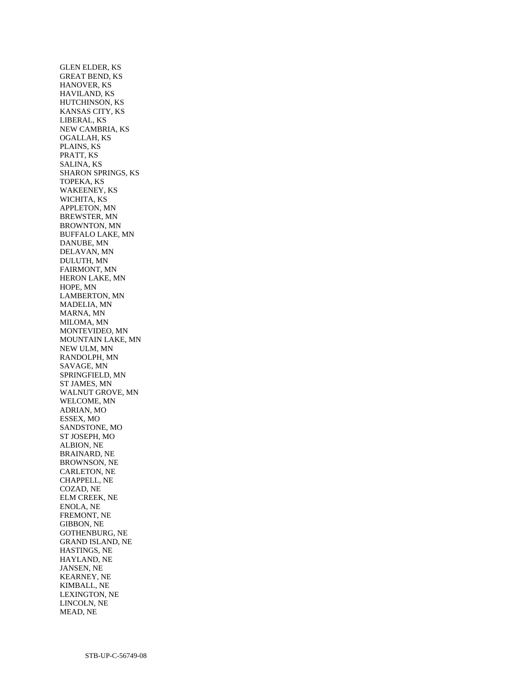GLEN ELDER, KS GREAT BEND, KS HANOVER, KS HAVILAND, KS HUTCHINSON, KS KANSAS CITY, KS LIBERAL, KS NEW CAMBRIA, KS OGALLAH, KS PLAINS, KS PRATT, KS SALINA, KS SHARON SPRINGS, KS TOPEKA, KS WAKEENEY, KS WICHITA, KS APPLETON, MN BREWSTER, MN BROWNTON, MN BUFFALO LAKE, MN DANUBE, MN DELAVAN, MN DULUTH, MN FAIRMONT, MN HERON LAKE, MN HOPE, MN LAMBERTON, MN MADELIA, MN MARNA, MN MILOMA, MN MONTEVIDEO, MN MOUNTAIN LAKE, MN NEW ULM, MN RANDOLPH, MN SAVAGE, MN SPRINGFIELD, MN ST JAMES, MN WALNUT GROVE, MN WELCOME, MN ADRIAN, MO ESSEX, MO SANDSTONE, MO ST JOSEPH, MO ALBION, NE BRAINARD, NE BROWNSON, NE CARLETON, NE CHAPPELL, NE COZAD, NE ELM CREEK, NE ENOLA, NE FREMONT, NE GIBBON, NE GOTHENBURG, NE GRAND ISLAND, NE HASTINGS, NE HAYLAND, NE JANSEN, NE KEARNEY, NE KIMBALL, NE LEXINGTON, NE LINCOLN, NE MEAD, NE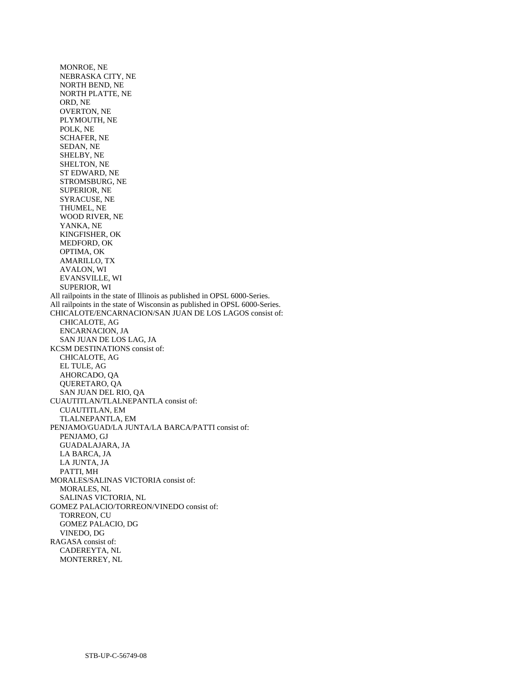MONROE, NE NEBRASKA CITY, NE NORTH BEND, NE NORTH PLATTE, NE ORD, NE OVERTON, NE PLYMOUTH, NE POLK, NE SCHAFER, NE SEDAN, NE SHELBY, NE SHELTON, NE ST EDWARD, NE STROMSBURG, NE SUPERIOR, NE SYRACUSE, NE THUMEL, NE WOOD RIVER, NE YANKA, NE KINGFISHER, OK MEDFORD, OK OPTIMA, OK AMARILLO, TX AVALON, WI EVANSVILLE, WI SUPERIOR, WI All railpoints in the state of Illinois as published in OPSL 6000-Series. All railpoints in the state of Wisconsin as published in OPSL 6000-Series. CHICALOTE/ENCARNACION/SAN JUAN DE LOS LAGOS consist of: CHICALOTE, AG ENCARNACION, JA SAN JUAN DE LOS LAG, JA KCSM DESTINATIONS consist of: CHICALOTE, AG EL TULE, AG AHORCADO, QA QUERETARO, QA SAN JUAN DEL RIO, QA CUAUTITLAN/TLALNEPANTLA consist of: CUAUTITLAN, EM TLALNEPANTLA, EM PENJAMO/GUAD/LA JUNTA/LA BARCA/PATTI consist of: PENJAMO, GJ GUADALAJARA, JA LA BARCA, JA LA JUNTA, JA PATTI, MH MORALES/SALINAS VICTORIA consist of: MORALES, NL SALINAS VICTORIA, NL GOMEZ PALACIO/TORREON/VINEDO consist of: TORREON, CU GOMEZ PALACIO, DG VINEDO, DG RAGASA consist of: CADEREYTA, NL MONTERREY, NL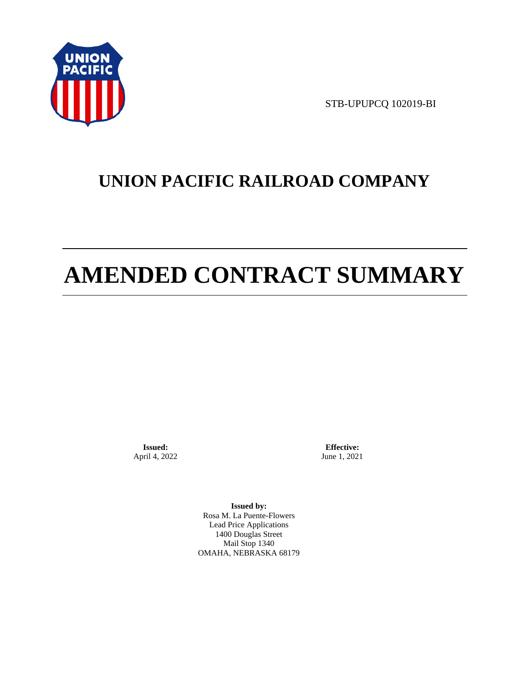

STB-UPUPCQ 102019-BI

# **UNION PACIFIC RAILROAD COMPANY**

# **AMENDED CONTRACT SUMMARY**

**Issued:**  April 4, 2022

**Effective:** June 1, 2021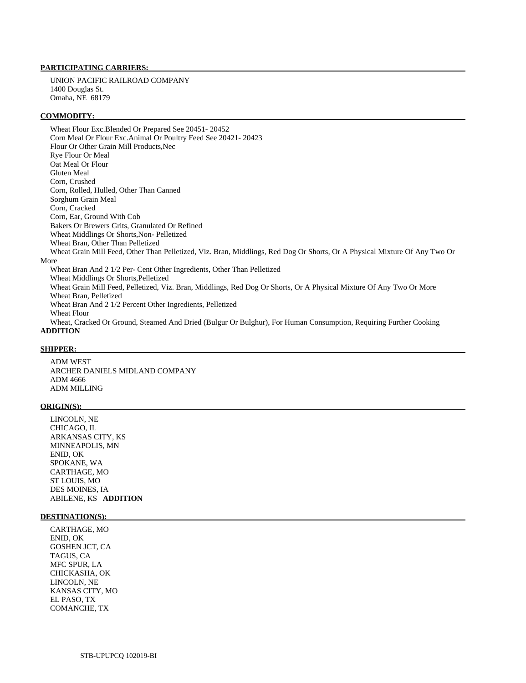UNION PACIFIC RAILROAD COMPANY 1400 Douglas St. Omaha, NE 68179

#### **COMMODITY:**

 Wheat Flour Exc.Blended Or Prepared See 20451- 20452 Corn Meal Or Flour Exc.Animal Or Poultry Feed See 20421- 20423 Flour Or Other Grain Mill Products,Nec Rye Flour Or Meal Oat Meal Or Flour Gluten Meal Corn, Crushed Corn, Rolled, Hulled, Other Than Canned Sorghum Grain Meal Corn, Cracked Corn, Ear, Ground With Cob Bakers Or Brewers Grits, Granulated Or Refined Wheat Middlings Or Shorts,Non- Pelletized Wheat Bran, Other Than Pelletized Wheat Grain Mill Feed, Other Than Pelletized, Viz. Bran, Middlings, Red Dog Or Shorts, Or A Physical Mixture Of Any Two Or More Wheat Bran And 2 1/2 Per- Cent Other Ingredients, Other Than Pelletized Wheat Middlings Or Shorts,Pelletized Wheat Grain Mill Feed, Pelletized, Viz. Bran, Middlings, Red Dog Or Shorts, Or A Physical Mixture Of Any Two Or More Wheat Bran, Pelletized Wheat Bran And 2 1/2 Percent Other Ingredients, Pelletized Wheat Flour Wheat, Cracked Or Ground, Steamed And Dried (Bulgur Or Bulghur), For Human Consumption, Requiring Further Cooking

# **ADDITION**

# **SHIPPER:**

 ADM WEST ARCHER DANIELS MIDLAND COMPANY ADM 4666 ADM MILLING

#### **ORIGIN(S):**

 LINCOLN, NE CHICAGO, IL ARKANSAS CITY, KS MINNEAPOLIS, MN ENID, OK SPOKANE, WA CARTHAGE, MO ST LOUIS, MO DES MOINES, IA ABILENE, KS **ADDITION** 

#### **DESTINATION(S):**

 CARTHAGE, MO ENID, OK GOSHEN JCT, CA TAGUS, CA MFC SPUR, LA CHICKASHA, OK LINCOLN, NE KANSAS CITY, MO EL PASO, TX COMANCHE, TX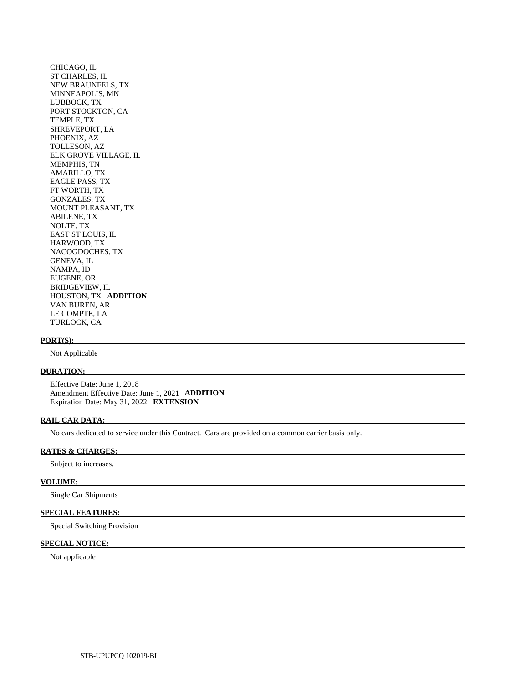CHICAGO, IL ST CHARLES, IL NEW BRAUNFELS, TX MINNEAPOLIS, MN LUBBOCK, TX PORT STOCKTON, CA TEMPLE, TX SHREVEPORT, LA PHOENIX, AZ TOLLESON, AZ ELK GROVE VILLAGE, IL MEMPHIS, TN AMARILLO, TX EAGLE PASS, TX FT WORTH, TX GONZALES, TX MOUNT PLEASANT, TX ABILENE, TX NOLTE, TX EAST ST LOUIS, IL HARWOOD, TX NACOGDOCHES, TX GENEVA, IL NAMPA, ID EUGENE, OR BRIDGEVIEW, IL HOUSTON, TX **ADDITION**  VAN BUREN, AR LE COMPTE, LA TURLOCK, CA

#### **PORT(S):**

Not Applicable

# **DURATION:**

 Effective Date: June 1, 2018 Amendment Effective Date: June 1, 2021 **ADDITION**  Expiration Date: May 31, 2022 **EXTENSION** 

#### **RAIL CAR DATA:**

No cars dedicated to service under this Contract. Cars are provided on a common carrier basis only.

# **RATES & CHARGES:**

Subject to increases.

#### **VOLUME:**

Single Car Shipments

# **SPECIAL FEATURES:**

Special Switching Provision

# **SPECIAL NOTICE:**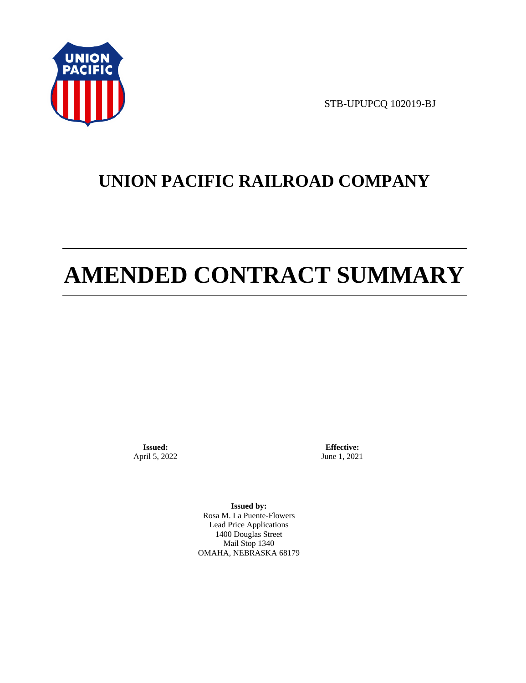

STB-UPUPCQ 102019-BJ

# **UNION PACIFIC RAILROAD COMPANY**

# **AMENDED CONTRACT SUMMARY**

**Issued:**  April 5, 2022

**Effective:** June 1, 2021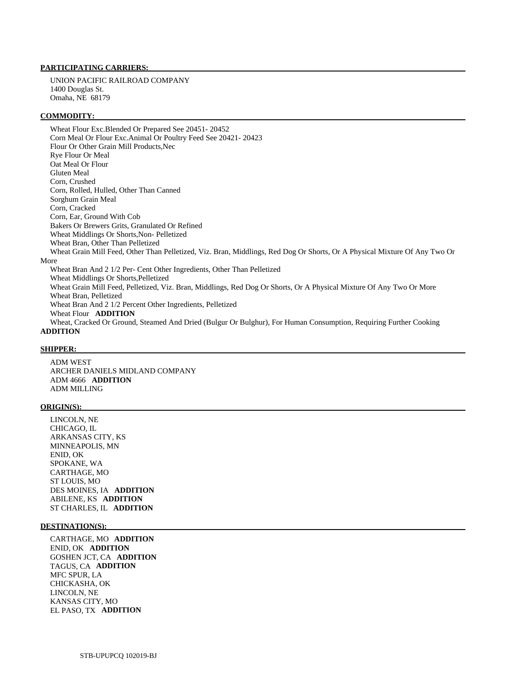UNION PACIFIC RAILROAD COMPANY 1400 Douglas St. Omaha, NE 68179

#### **COMMODITY:**

 Wheat Flour Exc.Blended Or Prepared See 20451- 20452 Corn Meal Or Flour Exc.Animal Or Poultry Feed See 20421- 20423 Flour Or Other Grain Mill Products,Nec Rye Flour Or Meal Oat Meal Or Flour Gluten Meal Corn, Crushed Corn, Rolled, Hulled, Other Than Canned Sorghum Grain Meal Corn, Cracked Corn, Ear, Ground With Cob Bakers Or Brewers Grits, Granulated Or Refined Wheat Middlings Or Shorts,Non- Pelletized Wheat Bran, Other Than Pelletized Wheat Grain Mill Feed, Other Than Pelletized, Viz. Bran, Middlings, Red Dog Or Shorts, Or A Physical Mixture Of Any Two Or More Wheat Bran And 2 1/2 Per- Cent Other Ingredients, Other Than Pelletized Wheat Middlings Or Shorts,Pelletized Wheat Grain Mill Feed, Pelletized, Viz. Bran, Middlings, Red Dog Or Shorts, Or A Physical Mixture Of Any Two Or More Wheat Bran, Pelletized Wheat Bran And 2 1/2 Percent Other Ingredients, Pelletized Wheat Flour **ADDITION**  Wheat, Cracked Or Ground, Steamed And Dried (Bulgur Or Bulghur), For Human Consumption, Requiring Further Cooking

# **ADDITION**

### **SHIPPER:**

 ADM WEST ARCHER DANIELS MIDLAND COMPANY ADM 4666 **ADDITION**  ADM MILLING

#### **ORIGIN(S):**

 LINCOLN, NE CHICAGO, IL ARKANSAS CITY, KS MINNEAPOLIS, MN ENID, OK SPOKANE, WA CARTHAGE, MO ST LOUIS, MO DES MOINES, IA **ADDITION**  ABILENE, KS **ADDITION**  ST CHARLES, IL **ADDITION** 

### **DESTINATION(S):**

 CARTHAGE, MO **ADDITION**  ENID, OK **ADDITION**  GOSHEN JCT, CA **ADDITION**  TAGUS, CA **ADDITION**  MFC SPUR, LA CHICKASHA, OK LINCOLN, NE KANSAS CITY, MO EL PASO, TX **ADDITION**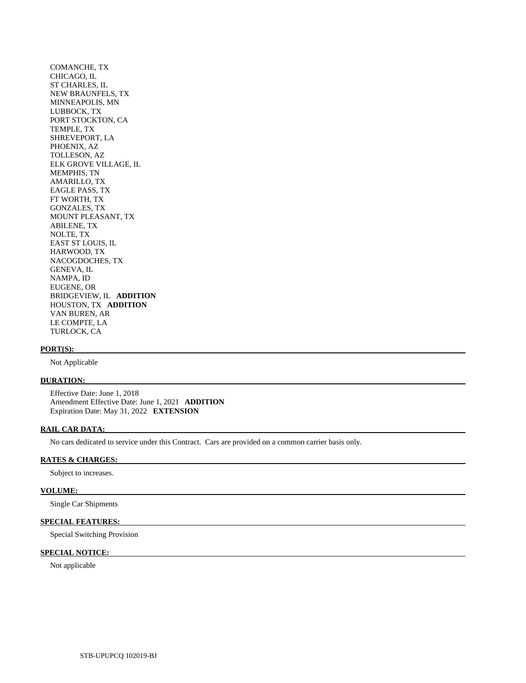COMANCHE, TX CHICAGO, IL ST CHARLES, IL NEW BRAUNFELS, TX MINNEAPOLIS, MN LUBBOCK, TX PORT STOCKTON, CA TEMPLE, TX SHREVEPORT, LA PHOENIX, AZ TOLLESON, AZ ELK GROVE VILLAGE, IL MEMPHIS, TN AMARILLO, TX EAGLE PASS, TX FT WORTH, TX GONZALES, TX MOUNT PLEASANT, TX ABILENE, TX NOLTE, TX EAST ST LOUIS, IL HARWOOD, TX NACOGDOCHES, TX GENEVA, IL NAMPA, ID EUGENE, OR BRIDGEVIEW, IL **ADDITION**  HOUSTON, TX **ADDITION**  VAN BUREN, AR LE COMPTE, LA TURLOCK, CA

### **PORT(S):**

Not Applicable

# **DURATION:**

 Effective Date: June 1, 2018 Amendment Effective Date: June 1, 2021 **ADDITION**  Expiration Date: May 31, 2022 **EXTENSION** 

## **RAIL CAR DATA:**

No cars dedicated to service under this Contract. Cars are provided on a common carrier basis only.

# **RATES & CHARGES:**

Subject to increases.

#### **VOLUME:**

Single Car Shipments

# **SPECIAL FEATURES:**

Special Switching Provision

# **SPECIAL NOTICE:**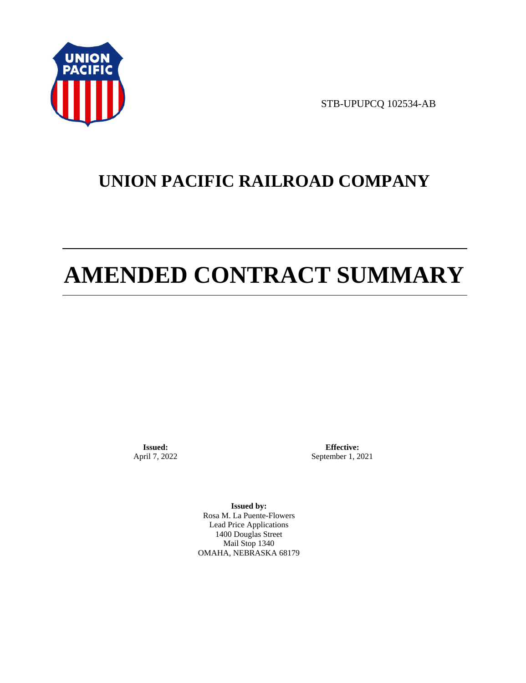

STB-UPUPCQ 102534-AB

# **UNION PACIFIC RAILROAD COMPANY**

# **AMENDED CONTRACT SUMMARY**

**Issued:**  April 7, 2022

**Effective:** September 1, 2021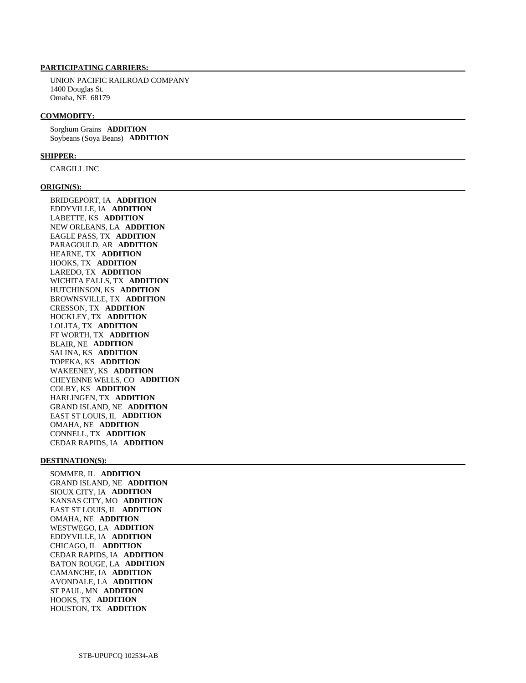UNION PACIFIC RAILROAD COMPANY 1400 Douglas St. Omaha, NE 68179

#### **COMMODITY:**

 Sorghum Grains **ADDITION**  Soybeans (Soya Beans) **ADDITION** 

#### **SHIPPER:**

CARGILL INC

#### **ORIGIN(S):**

 BRIDGEPORT, IA **ADDITION**  EDDYVILLE, IA **ADDITION**  LABETTE, KS **ADDITION**  NEW ORLEANS, LA **ADDITION**  EAGLE PASS, TX **ADDITION**  PARAGOULD, AR **ADDITION**  HEARNE, TX **ADDITION**  HOOKS, TX **ADDITION**  LAREDO, TX **ADDITION**  WICHITA FALLS, TX **ADDITION**  HUTCHINSON, KS **ADDITION**  BROWNSVILLE, TX **ADDITION**  CRESSON, TX **ADDITION**  HOCKLEY, TX **ADDITION**  LOLITA, TX **ADDITION**  FT WORTH, TX **ADDITION**  BLAIR, NE **ADDITION**  SALINA, KS **ADDITION**  TOPEKA, KS **ADDITION**  WAKEENEY, KS **ADDITION**  CHEYENNE WELLS, CO **ADDITION**  COLBY, KS **ADDITION**  HARLINGEN, TX **ADDITION**  GRAND ISLAND, NE **ADDITION**  EAST ST LOUIS, IL **ADDITION**  OMAHA, NE **ADDITION**  CONNELL, TX **ADDITION**  CEDAR RAPIDS, IA **ADDITION** 

### **DESTINATION(S):**

 SOMMER, IL **ADDITION**  GRAND ISLAND, NE **ADDITION**  SIOUX CITY, IA **ADDITION**  KANSAS CITY, MO **ADDITION**  EAST ST LOUIS, IL **ADDITION**  OMAHA, NE **ADDITION**  WESTWEGO, LA **ADDITION**  EDDYVILLE, IA **ADDITION**  CHICAGO, IL **ADDITION**  CEDAR RAPIDS, IA **ADDITION**  BATON ROUGE, LA **ADDITION**  CAMANCHE, IA **ADDITION**  AVONDALE, LA **ADDITION**  ST PAUL, MN **ADDITION**  HOOKS, TX **ADDITION**  HOUSTON, TX **ADDITION**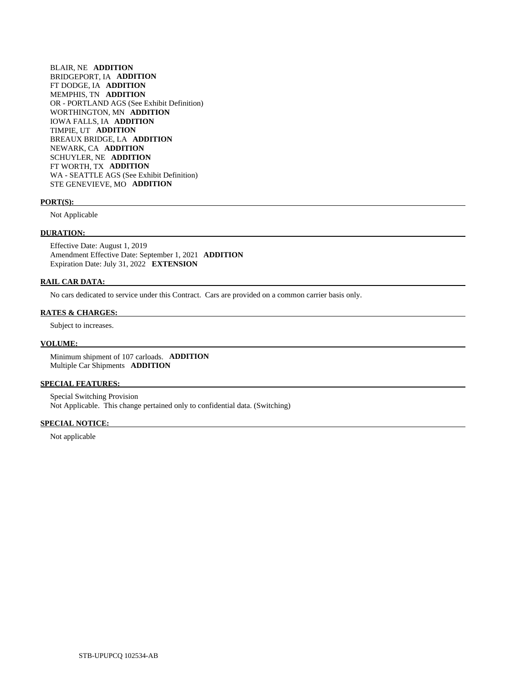BLAIR, NE **ADDITION**  BRIDGEPORT, IA **ADDITION**  FT DODGE, IA **ADDITION**  MEMPHIS, TN **ADDITION**  OR - PORTLAND AGS (See Exhibit Definition) WORTHINGTON, MN **ADDITION**  IOWA FALLS, IA **ADDITION**  TIMPIE, UT **ADDITION**  BREAUX BRIDGE, LA **ADDITION**  NEWARK, CA **ADDITION**  SCHUYLER, NE **ADDITION**  FT WORTH, TX **ADDITION**  WA - SEATTLE AGS (See Exhibit Definition) STE GENEVIEVE, MO **ADDITION** 

#### **PORT(S):**

Not Applicable

### **DURATION:**

 Effective Date: August 1, 2019 Amendment Effective Date: September 1, 2021 **ADDITION**  Expiration Date: July 31, 2022 **EXTENSION** 

# **RAIL CAR DATA:**

No cars dedicated to service under this Contract. Cars are provided on a common carrier basis only.

# **RATES & CHARGES:**

Subject to increases.

## **VOLUME:**

 Minimum shipment of 107 carloads. **ADDITION**  Multiple Car Shipments **ADDITION** 

#### **SPECIAL FEATURES:**

 Special Switching Provision Not Applicable. This change pertained only to confidential data. (Switching)

# **SPECIAL NOTICE:**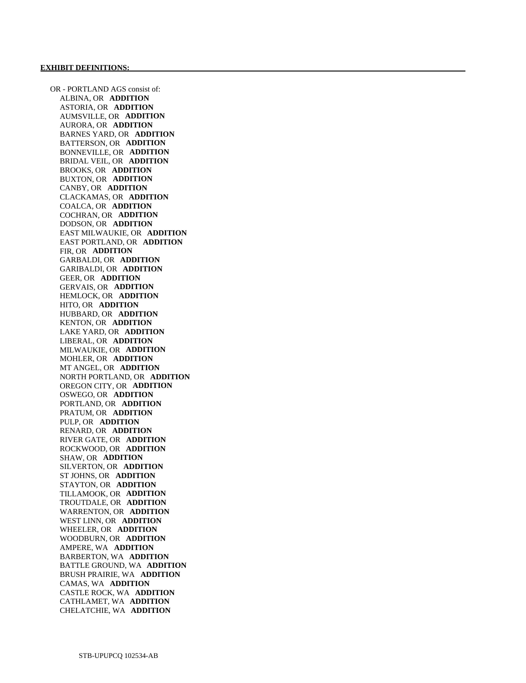OR - PORTLAND AGS consist of: ALBINA, OR **ADDITION**  ASTORIA, OR **ADDITION**  AUMSVILLE, OR **ADDITION**  AURORA, OR **ADDITION**  BARNES YARD, OR **ADDITION**  BATTERSON, OR **ADDITION**  BONNEVILLE, OR **ADDITION**  BRIDAL VEIL, OR **ADDITION**  BROOKS, OR **ADDITION**  BUXTON, OR **ADDITION**  CANBY, OR **ADDITION**  CLACKAMAS, OR **ADDITION**  COALCA, OR **ADDITION**  COCHRAN, OR **ADDITION**  DODSON, OR **ADDITION**  EAST MILWAUKIE, OR **ADDITION**  EAST PORTLAND, OR **ADDITION**  FIR, OR **ADDITION**  GARBALDI, OR **ADDITION**  GARIBALDI, OR **ADDITION**  GEER, OR **ADDITION**  GERVAIS, OR **ADDITION**  HEMLOCK, OR **ADDITION**  HITO, OR **ADDITION**  HUBBARD, OR **ADDITION**  KENTON, OR **ADDITION**  LAKE YARD, OR **ADDITION**  LIBERAL, OR **ADDITION**  MILWAUKIE, OR **ADDITION**  MOHLER, OR **ADDITION**  MT ANGEL, OR **ADDITION**  NORTH PORTLAND, OR **ADDITION**  OREGON CITY, OR **ADDITION**  OSWEGO, OR **ADDITION**  PORTLAND, OR **ADDITION**  PRATUM, OR **ADDITION**  PULP, OR **ADDITION**  RENARD, OR **ADDITION**  RIVER GATE, OR **ADDITION**  ROCKWOOD, OR **ADDITION**  SHAW, OR **ADDITION**  SILVERTON, OR **ADDITION**  ST JOHNS, OR **ADDITION**  STAYTON, OR **ADDITION**  TILLAMOOK, OR **ADDITION**  TROUTDALE, OR **ADDITION**  WARRENTON, OR **ADDITION**  WEST LINN, OR **ADDITION**  WHEELER, OR **ADDITION**  WOODBURN, OR **ADDITION**  AMPERE, WA **ADDITION**  BARBERTON, WA **ADDITION**  BATTLE GROUND, WA **ADDITION**  BRUSH PRAIRIE, WA **ADDITION**  CAMAS, WA **ADDITION**  CASTLE ROCK, WA **ADDITION**  CATHLAMET, WA **ADDITION**  CHELATCHIE, WA **ADDITION**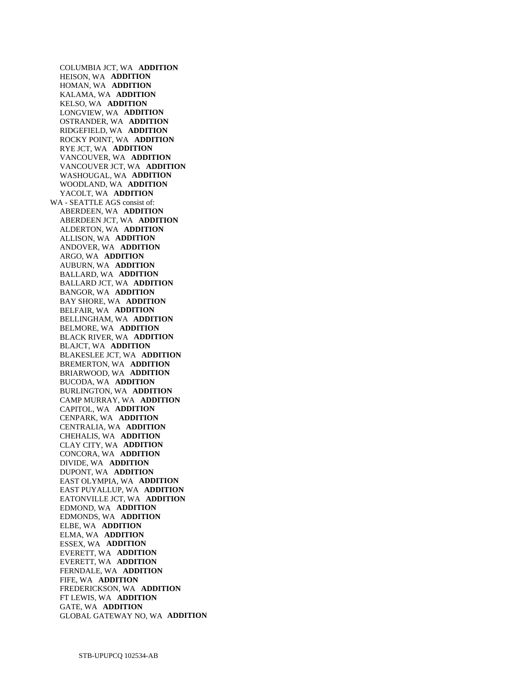COLUMBIA JCT, WA **ADDITION**  HEISON, WA **ADDITION**  HOMAN, WA **ADDITION**  KALAMA, WA **ADDITION**  KELSO, WA **ADDITION**  LONGVIEW, WA **ADDITION**  OSTRANDER, WA **ADDITION**  RIDGEFIELD, WA **ADDITION**  ROCKY POINT, WA **ADDITION**  RYE JCT, WA **ADDITION**  VANCOUVER, WA **ADDITION**  VANCOUVER JCT, WA **ADDITION**  WASHOUGAL, WA **ADDITION**  WOODLAND, WA **ADDITION**  YACOLT, WA **ADDITION**  WA - SEATTLE AGS consist of: ABERDEEN, WA **ADDITION**  ABERDEEN JCT, WA **ADDITION**  ALDERTON, WA **ADDITION**  ALLISON, WA **ADDITION**  ANDOVER, WA **ADDITION**  ARGO, WA **ADDITION**  AUBURN, WA **ADDITION**  BALLARD, WA **ADDITION**  BALLARD JCT, WA **ADDITION**  BANGOR, WA **ADDITION**  BAY SHORE, WA **ADDITION**  BELFAIR, WA **ADDITION**  BELLINGHAM, WA **ADDITION**  BELMORE, WA **ADDITION**  BLACK RIVER, WA **ADDITION**  BLAJCT, WA **ADDITION**  BLAKESLEE JCT, WA **ADDITION**  BREMERTON, WA **ADDITION**  BRIARWOOD, WA **ADDITION**  BUCODA, WA **ADDITION**  BURLINGTON, WA **ADDITION**  CAMP MURRAY, WA **ADDITION**  CAPITOL, WA **ADDITION**  CENPARK, WA **ADDITION**  CENTRALIA, WA **ADDITION**  CHEHALIS, WA **ADDITION**  CLAY CITY, WA **ADDITION**  CONCORA, WA **ADDITION**  DIVIDE, WA **ADDITION**  DUPONT, WA **ADDITION**  EAST OLYMPIA, WA **ADDITION**  EAST PUYALLUP, WA **ADDITION**  EATONVILLE JCT, WA **ADDITION**  EDMOND, WA **ADDITION**  EDMONDS, WA **ADDITION**  ELBE, WA **ADDITION**  ELMA, WA **ADDITION**  ESSEX, WA **ADDITION**  EVERETT, WA **ADDITION**  EVERETT, WA **ADDITION**  FERNDALE, WA **ADDITION**  FIFE, WA **ADDITION**  FREDERICKSON, WA **ADDITION**  FT LEWIS, WA **ADDITION**  GATE, WA **ADDITION**  GLOBAL GATEWAY NO, WA **ADDITION**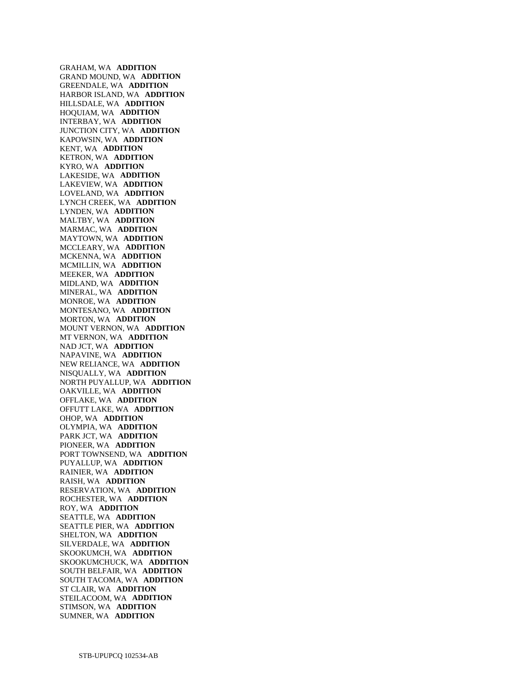GRAHAM, WA **ADDITION**  GRAND MOUND, WA **ADDITION**  GREENDALE, WA **ADDITION**  HARBOR ISLAND, WA **ADDITION**  HILLSDALE, WA **ADDITION**  HOQUIAM, WA **ADDITION**  INTERBAY, WA **ADDITION**  JUNCTION CITY, WA **ADDITION**  KAPOWSIN, WA **ADDITION**  KENT, WA **ADDITION**  KETRON, WA **ADDITION**  KYRO, WA **ADDITION**  LAKESIDE, WA **ADDITION**  LAKEVIEW, WA **ADDITION**  LOVELAND, WA **ADDITION**  LYNCH CREEK, WA **ADDITION**  LYNDEN, WA **ADDITION**  MALTBY, WA **ADDITION**  MARMAC, WA **ADDITION**  MAYTOWN, WA **ADDITION**  MCCLEARY, WA **ADDITION**  MCKENNA, WA **ADDITION**  MCMILLIN, WA **ADDITION**  MEEKER, WA **ADDITION**  MIDLAND, WA **ADDITION**  MINERAL, WA **ADDITION**  MONROE, WA **ADDITION**  MONTESANO, WA **ADDITION**  MORTON, WA **ADDITION**  MOUNT VERNON, WA **ADDITION**  MT VERNON, WA **ADDITION**  NAD JCT, WA **ADDITION**  NAPAVINE, WA **ADDITION**  NEW RELIANCE, WA **ADDITION**  NISQUALLY, WA **ADDITION**  NORTH PUYALLUP, WA **ADDITION**  OAKVILLE, WA **ADDITION**  OFFLAKE, WA **ADDITION**  OFFUTT LAKE, WA **ADDITION**  OHOP, WA **ADDITION**  OLYMPIA, WA **ADDITION**  PARK JCT, WA **ADDITION**  PIONEER, WA **ADDITION**  PORT TOWNSEND, WA **ADDITION**  PUYALLUP, WA **ADDITION**  RAINIER, WA **ADDITION**  RAISH, WA **ADDITION**  RESERVATION, WA **ADDITION**  ROCHESTER, WA **ADDITION**  ROY, WA **ADDITION**  SEATTLE, WA **ADDITION**  SEATTLE PIER, WA **ADDITION**  SHELTON, WA **ADDITION**  SILVERDALE, WA **ADDITION**  SKOOKUMCH, WA **ADDITION**  SKOOKUMCHUCK, WA **ADDITION**  SOUTH BELFAIR, WA **ADDITION**  SOUTH TACOMA, WA **ADDITION**  ST CLAIR, WA **ADDITION**  STEILACOOM, WA **ADDITION**  STIMSON, WA **ADDITION**  SUMNER, WA **ADDITION**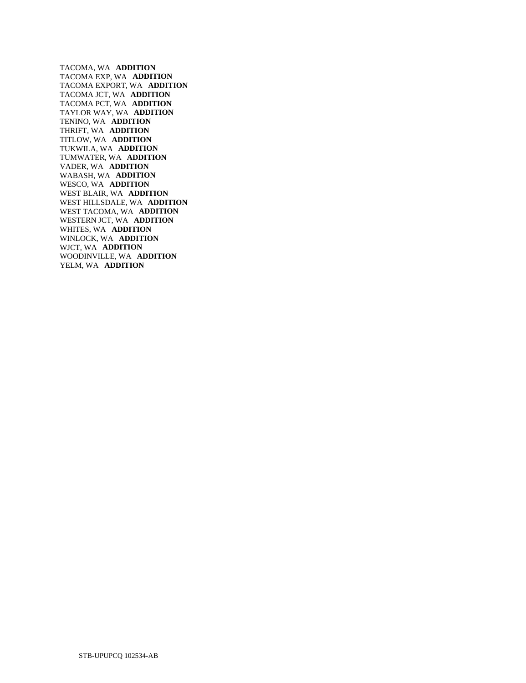TACOMA, WA **ADDITION**  TACOMA EXP, WA **ADDITION**  TACOMA EXPORT, WA **ADDITION**  TACOMA JCT, WA **ADDITION**  TACOMA PCT, WA **ADDITION**  TAYLOR WAY, WA **ADDITION**  TENINO, WA **ADDITION**  THRIFT, WA **ADDITION**  TITLOW, WA **ADDITION**  TUKWILA, WA **ADDITION**  TUMWATER, WA **ADDITION**  VADER, WA **ADDITION**  WABASH, WA **ADDITION**  WESCO, WA **ADDITION**  WEST BLAIR, WA **ADDITION**  WEST HILLSDALE, WA **ADDITION**  WEST TACOMA, WA **ADDITION**  WESTERN JCT, WA **ADDITION**  WHITES, WA **ADDITION**  WINLOCK, WA **ADDITION**  WJCT, WA **ADDITION**  WOODINVILLE, WA **ADDITION**  YELM, WA **ADDITION**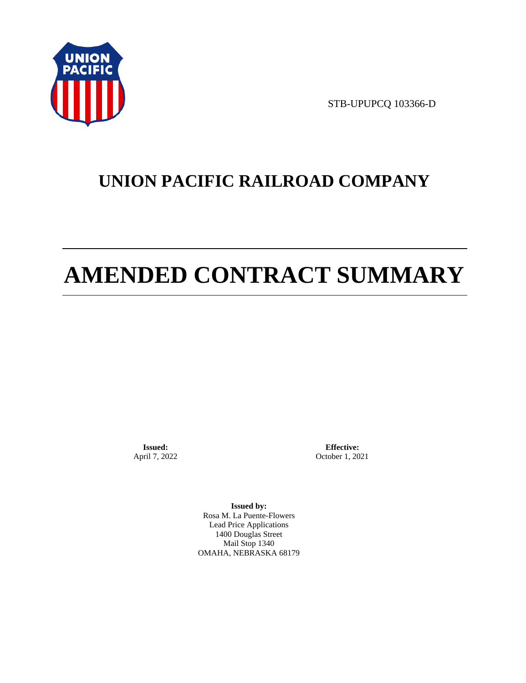

STB-UPUPCQ 103366-D

# **UNION PACIFIC RAILROAD COMPANY**

# **AMENDED CONTRACT SUMMARY**

**Issued:**  April 7, 2022

**Effective:** October 1, 2021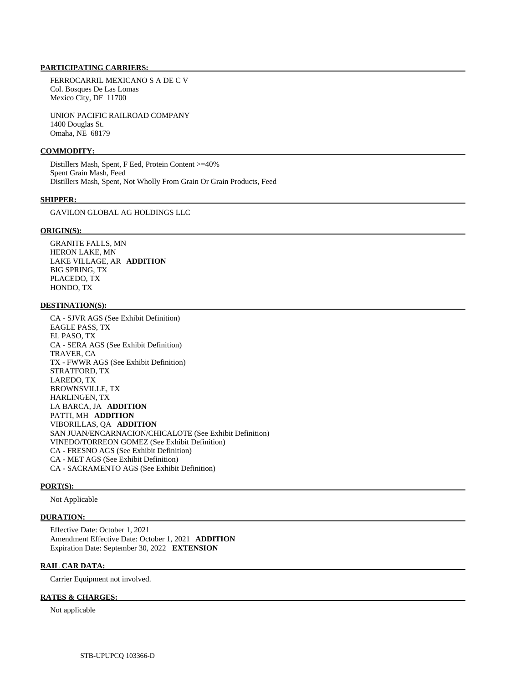FERROCARRIL MEXICANO S A DE C V Col. Bosques De Las Lomas Mexico City, DF 11700

 UNION PACIFIC RAILROAD COMPANY 1400 Douglas St. Omaha, NE 68179

### **COMMODITY:**

 Distillers Mash, Spent, F Eed, Protein Content >=40% Spent Grain Mash, Feed Distillers Mash, Spent, Not Wholly From Grain Or Grain Products, Feed

#### **SHIPPER:**

GAVILON GLOBAL AG HOLDINGS LLC

# **ORIGIN(S):**

 GRANITE FALLS, MN HERON LAKE, MN LAKE VILLAGE, AR **ADDITION**  BIG SPRING, TX PLACEDO, TX HONDO, TX

# **DESTINATION(S):**

 CA - SJVR AGS (See Exhibit Definition) EAGLE PASS, TX EL PASO, TX CA - SERA AGS (See Exhibit Definition) TRAVER, CA TX - FWWR AGS (See Exhibit Definition) STRATFORD, TX LAREDO, TX BROWNSVILLE, TX HARLINGEN, TX LA BARCA, JA **ADDITION**  PATTI, MH **ADDITION**  VIBORILLAS, QA **ADDITION**  SAN JUAN/ENCARNACION/CHICALOTE (See Exhibit Definition) VINEDO/TORREON GOMEZ (See Exhibit Definition) CA - FRESNO AGS (See Exhibit Definition) CA - MET AGS (See Exhibit Definition) CA - SACRAMENTO AGS (See Exhibit Definition)

#### **PORT(S):**

Not Applicable

#### **DURATION:**

 Effective Date: October 1, 2021 Amendment Effective Date: October 1, 2021 **ADDITION**  Expiration Date: September 30, 2022 **EXTENSION** 

#### **RAIL CAR DATA:**

Carrier Equipment not involved.

# **RATES & CHARGES:**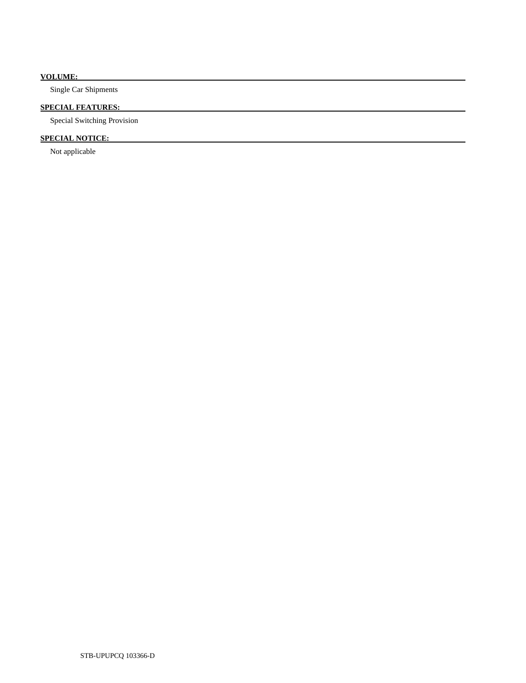# **VOLUME:**

Single Car Shipments

# **SPECIAL FEATURES:**

Special Switching Provision

# **SPECIAL NOTICE:**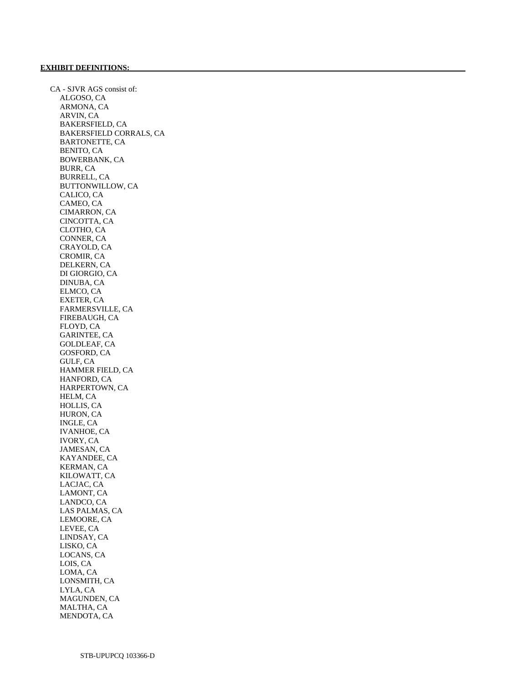CA - SJVR AGS consist of: ALGOSO, CA ARMONA, CA ARVIN, CA BAKERSFIELD, CA BAKERSFIELD CORRALS, CA BARTONETTE, CA BENITO, CA BOWERBANK, CA BURR, CA BURRELL, CA BUTTONWILLOW, CA CALICO, CA CAMEO, CA CIMARRON, CA CINCOTTA, CA CLOTHO, CA CONNER, CA CRAYOLD, CA CROMIR, CA DELKERN, CA DI GIORGIO, CA DINUBA, CA ELMCO, CA EXETER, CA FARMERSVILLE, CA FIREBAUGH, CA FLOYD, CA GARINTEE, CA GOLDLEAF, CA GOSFORD, CA GULF, CA HAMMER FIELD, CA HANFORD, CA HARPERTOWN, CA HELM, CA HOLLIS, CA HURON, CA INGLE, CA IVANHOE, CA IVORY, CA JAMESAN, CA KAYANDEE, CA KERMAN, CA KILOWATT, CA LACJAC, CA LAMONT, CA LANDCO, CA LAS PALMAS, CA LEMOORE, CA LEVEE, CA LINDSAY, CA LISKO, CA LOCANS, CA LOIS, CA LOMA, CA LONSMITH, CA LYLA, CA MAGUNDEN, CA MALTHA, CA MENDOTA, CA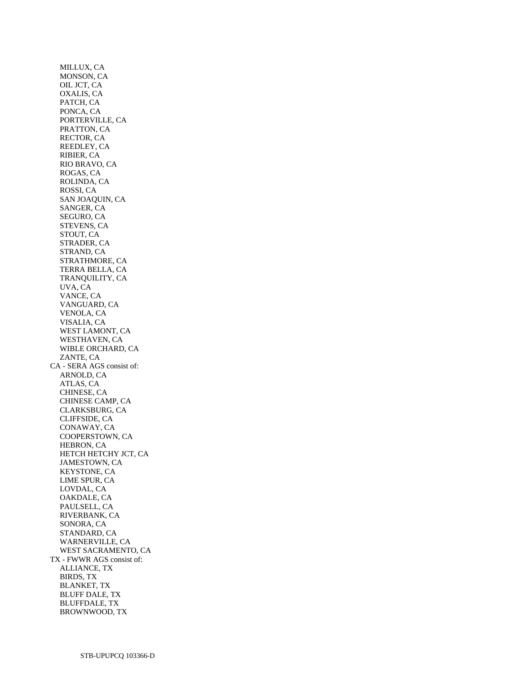MILLUX, CA MONSON, CA OIL JCT, CA OXALIS, CA PATCH, CA PONCA, CA PORTERVILLE, CA PRATTON, CA RECTOR, CA REEDLEY, CA RIBIER, CA RIO BRAVO, CA ROGAS, CA ROLINDA, CA ROSSI, CA SAN JOAQUIN, CA SANGER, CA SEGURO, CA STEVENS, CA STOUT, CA STRADER, CA STRAND, CA STRATHMORE, CA TERRA BELLA, CA TRANQUILITY, CA UVA, CA VANCE, CA VANGUARD, CA VENOLA, CA VISALIA, CA WEST LAMONT, CA WESTHAVEN, CA WIBLE ORCHARD, CA ZANTE, CA CA - SERA AGS consist of: ARNOLD, CA ATLAS, CA CHINESE, CA CHINESE CAMP, CA CLARKSBURG, CA CLIFFSIDE, CA CONAWAY, CA COOPERSTOWN, CA HEBRON, CA HETCH HETCHY JCT, CA JAMESTOWN, CA KEYSTONE, CA LIME SPUR, CA LOVDAL, CA OAKDALE, CA PAULSELL, CA RIVERBANK, CA SONORA, CA STANDARD, CA WARNERVILLE, CA WEST SACRAMENTO, CA TX - FWWR AGS consist of: ALLIANCE, TX BIRDS, TX BLANKET, TX BLUFF DALE, TX BLUFFDALE, TX BROWNWOOD, TX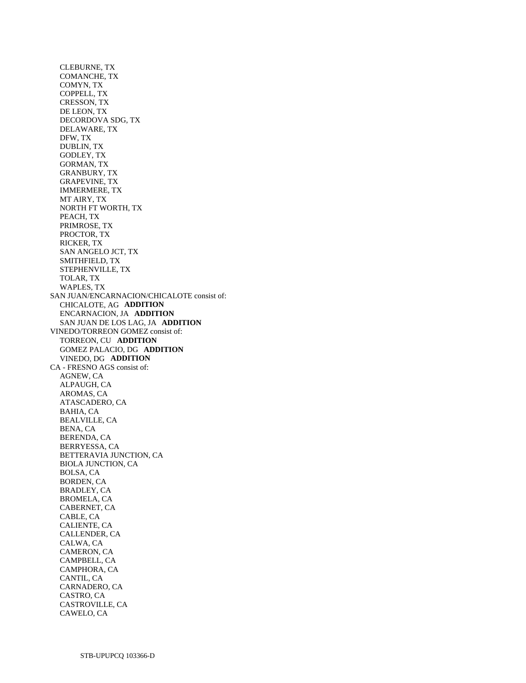CLEBURNE, TX COMANCHE, TX COMYN, TX COPPELL, TX CRESSON, TX DE LEON, TX DECORDOVA SDG, TX DELAWARE, TX DFW, TX DUBLIN, TX GODLEY, TX GORMAN, TX GRANBURY, TX GRAPEVINE, TX IMMERMERE, TX MT AIRY, TX NORTH FT WORTH, TX PEACH, TX PRIMROSE, TX PROCTOR, TX RICKER, TX SAN ANGELO JCT, TX SMITHFIELD, TX STEPHENVILLE, TX TOLAR, TX WAPLES, TX SAN JUAN/ENCARNACION/CHICALOTE consist of: CHICALOTE, AG **ADDITION**  ENCARNACION, JA **ADDITION**  SAN JUAN DE LOS LAG, JA **ADDITION**  VINEDO/TORREON GOMEZ consist of: TORREON, CU **ADDITION**  GOMEZ PALACIO, DG **ADDITION**  VINEDO, DG **ADDITION**  CA - FRESNO AGS consist of: AGNEW, CA ALPAUGH, CA AROMAS, CA ATASCADERO, CA BAHIA, CA BEALVILLE, CA BENA, CA BERENDA, CA BERRYESSA, CA BETTERAVIA JUNCTION, CA BIOLA JUNCTION, CA BOLSA, CA BORDEN, CA BRADLEY, CA BROMELA, CA CABERNET, CA CABLE, CA CALIENTE, CA CALLENDER, CA CALWA, CA CAMERON, CA CAMPBELL, CA CAMPHORA, CA CANTIL, CA CARNADERO, CA CASTRO, CA CASTROVILLE, CA CAWELO, CA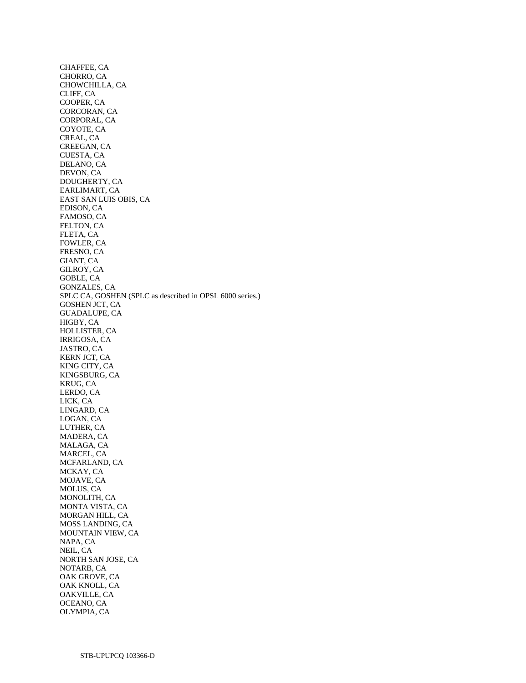CHAFFEE, CA CHORRO, CA CHOWCHILLA, CA CLIFF, CA COOPER, CA CORCORAN, CA CORPORAL, CA COYOTE, CA CREAL, CA CREEGAN, CA CUESTA, CA DELANO, CA DEVON, CA DOUGHERTY, CA EARLIMART, CA EAST SAN LUIS OBIS, CA EDISON, CA FAMOSO, CA FELTON, CA FLETA, CA FOWLER, CA FRESNO, CA GIANT, CA GILROY, CA GOBLE, CA GONZALES, CA SPLC CA, GOSHEN (SPLC as described in OPSL 6000 series.) GOSHEN JCT, CA GUADALUPE, CA HIGBY, CA HOLLISTER, CA IRRIGOSA, CA JASTRO, CA KERN JCT, CA KING CITY, CA KINGSBURG, CA KRUG, CA LERDO, CA LICK, CA LINGARD, CA LOGAN, CA LUTHER, CA MADERA, CA MALAGA, CA MARCEL, CA MCFARLAND, CA MCKAY, CA MOJAVE, CA MOLUS, CA MONOLITH, CA MONTA VISTA, CA MORGAN HILL, CA MOSS LANDING, CA MOUNTAIN VIEW, CA NAPA, CA NEIL, CA NORTH SAN JOSE, CA NOTARB, CA OAK GROVE, CA OAK KNOLL, CA OAKVILLE, CA OCEANO, CA OLYMPIA, CA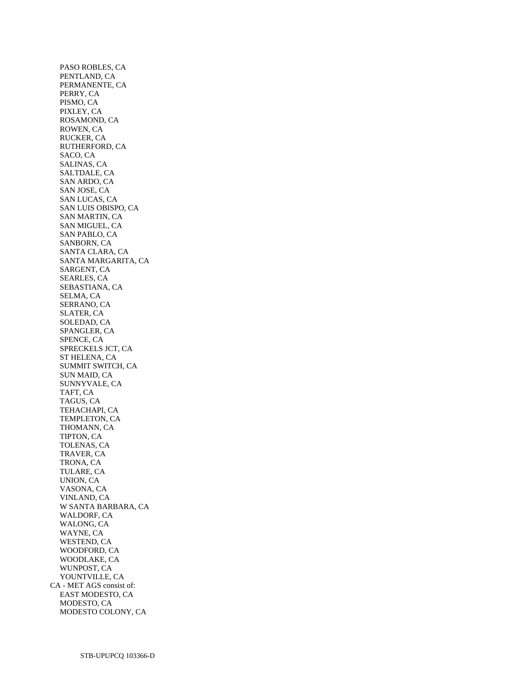PASO ROBLES, CA PENTLAND, CA PERMANENTE, CA PERRY, CA PISMO, CA PIXLEY, CA ROSAMOND, CA ROWEN, CA RUCKER, CA RUTHERFORD, CA SACO, CA SALINAS, CA SALTDALE, CA SAN ARDO, CA SAN JOSE, CA SAN LUCAS, CA SAN LUIS OBISPO, CA SAN MARTIN, CA SAN MIGUEL, CA SAN PABLO, CA SANBORN, CA SANTA CLARA, CA SANTA MARGARITA, CA SARGENT, CA SEARLES, CA SEBASTIANA, CA SELMA, CA SERRANO, CA SLATER, CA SOLEDAD, CA SPANGLER, CA SPENCE, CA SPRECKELS JCT, CA ST HELENA, CA SUMMIT SWITCH, CA SUN MAID, CA SUNNYVALE, CA TAFT, CA TAGUS, CA TEHACHAPI, CA TEMPLETON, CA THOMANN, CA TIPTON, CA TOLENAS, CA TRAVER, CA TRONA, CA TULARE, CA UNION, CA VASONA, CA VINLAND, CA W SANTA BARBARA, CA WALDORF, CA WALONG, CA WAYNE, CA WESTEND, CA WOODFORD, CA WOODLAKE, CA WUNPOST, CA YOUNTVILLE, CA CA - MET AGS consist of: EAST MODESTO, CA MODESTO, CA MODESTO COLONY, CA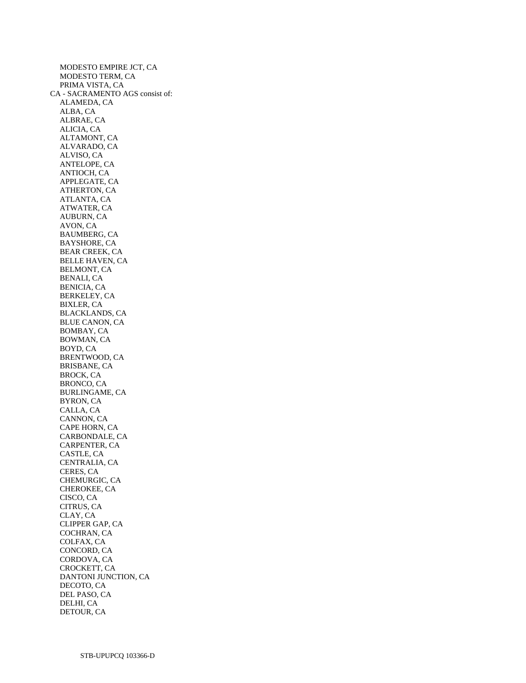MODESTO EMPIRE JCT, CA MODESTO TERM, CA PRIMA VISTA, CA CA - SACRAMENTO AGS consist of: ALAMEDA, CA ALBA, CA ALBRAE, CA ALICIA, CA ALTAMONT, CA ALVARADO, CA ALVISO, CA ANTELOPE, CA ANTIOCH, CA APPLEGATE, CA ATHERTON, CA ATLANTA, CA ATWATER, CA AUBURN, CA AVON, CA BAUMBERG, CA BAYSHORE, CA BEAR CREEK, CA BELLE HAVEN, CA BELMONT, CA BENALI, CA BENICIA, CA BERKELEY, CA BIXLER, CA BLACKLANDS, CA BLUE CANON, CA BOMBAY, CA BOWMAN, CA BOYD, CA BRENTWOOD, CA BRISBANE, CA BROCK, CA BRONCO, CA BURLINGAME, CA BYRON, CA CALLA, CA CANNON, CA CAPE HORN, CA CARBONDALE, CA CARPENTER, CA CASTLE, CA CENTRALIA, CA CERES, CA CHEMURGIC, CA CHEROKEE, CA CISCO, CA CITRUS, CA CLAY, CA CLIPPER GAP, CA COCHRAN, CA COLFAX, CA CONCORD, CA CORDOVA, CA CROCKETT, CA DANTONI JUNCTION, CA DECOTO, CA DEL PASO, CA DELHI, CA DETOUR, CA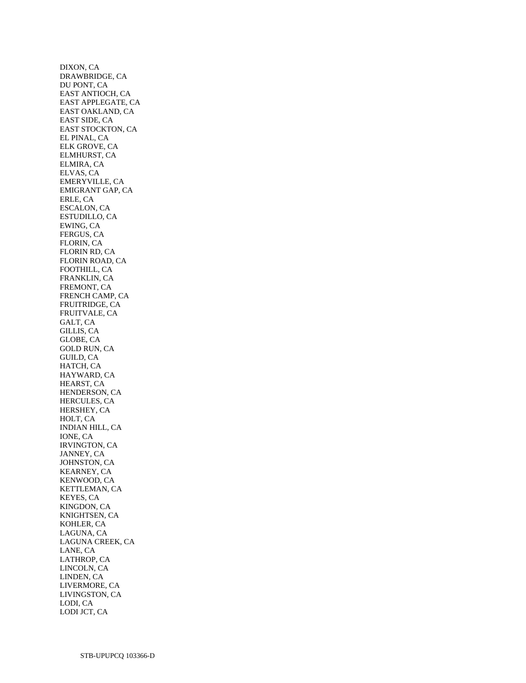DIXON, CA DRAWBRIDGE, CA DU PONT, CA EAST ANTIOCH, CA EAST APPLEGATE, CA EAST OAKLAND, CA EAST SIDE, CA EAST STOCKTON, CA EL PINAL, CA ELK GROVE, CA ELMHURST, CA ELMIRA, CA ELVAS, CA EMERYVILLE, CA EMIGRANT GAP, CA ERLE, CA ESCALON, CA ESTUDILLO, CA EWING, CA FERGUS, CA FLORIN, CA FLORIN RD, CA FLORIN ROAD, CA FOOTHILL, CA FRANKLIN, CA FREMONT, CA FRENCH CAMP, CA FRUITRIDGE, CA FRUITVALE, CA GALT, CA GILLIS, CA GLOBE, CA GOLD RUN, CA GUILD, CA HATCH, CA HAYWARD, CA HEARST, CA HENDERSON, CA HERCULES, CA HERSHEY, CA HOLT, CA INDIAN HILL, CA IONE, CA IRVINGTON, CA JANNEY, CA JOHNSTON, CA KEARNEY, CA KENWOOD, CA KETTLEMAN, CA KEYES, CA KINGDON, CA KNIGHTSEN, CA KOHLER, CA LAGUNA, CA LAGUNA CREEK, CA LANE, CA LATHROP, CA LINCOLN, CA LINDEN, CA LIVERMORE, CA LIVINGSTON, CA LODI, CA LODI JCT, CA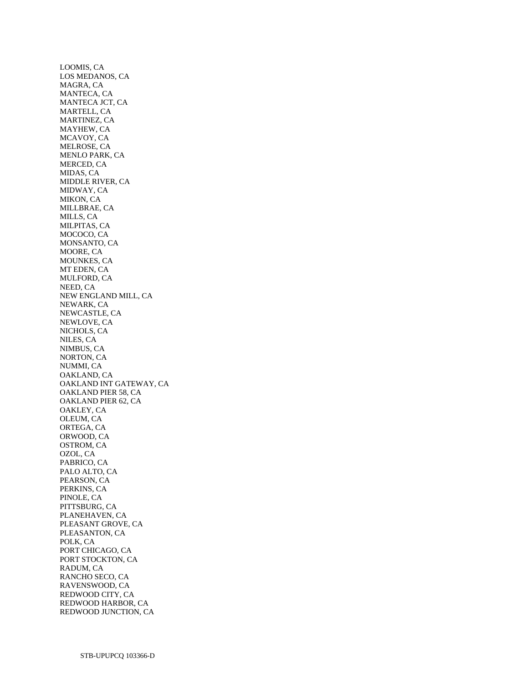LOOMIS, CA LOS MEDANOS, CA MAGRA, CA MANTECA, CA MANTECA JCT, CA MARTELL, CA MARTINEZ, CA MAYHEW, CA MCAVOY, CA MELROSE, CA MENLO PARK, CA MERCED, CA MIDAS, CA MIDDLE RIVER, CA MIDWAY, CA MIKON, CA MILLBRAE, CA MILLS, CA MILPITAS, CA MOCOCO, CA MONSANTO, CA MOORE, CA MOUNKES, CA MT EDEN, CA MULFORD, CA NEED, CA NEW ENGLAND MILL, CA NEWARK, CA NEWCASTLE, CA NEWLOVE, CA NICHOLS, CA NILES, CA NIMBUS, CA NORTON, CA NUMMI, CA OAKLAND, CA OAKLAND INT GATEWAY, CA OAKLAND PIER 58, CA OAKLAND PIER 62, CA OAKLEY, CA OLEUM, CA ORTEGA, CA ORWOOD, CA OSTROM, CA OZOL, CA PABRICO, CA PALO ALTO, CA PEARSON, CA PERKINS, CA PINOLE, CA PITTSBURG, CA PLANEHAVEN, CA PLEASANT GROVE, CA PLEASANTON, CA POLK, CA PORT CHICAGO, CA PORT STOCKTON, CA RADUM, CA RANCHO SECO, CA RAVENSWOOD, CA REDWOOD CITY, CA REDWOOD HARBOR, CA REDWOOD JUNCTION, CA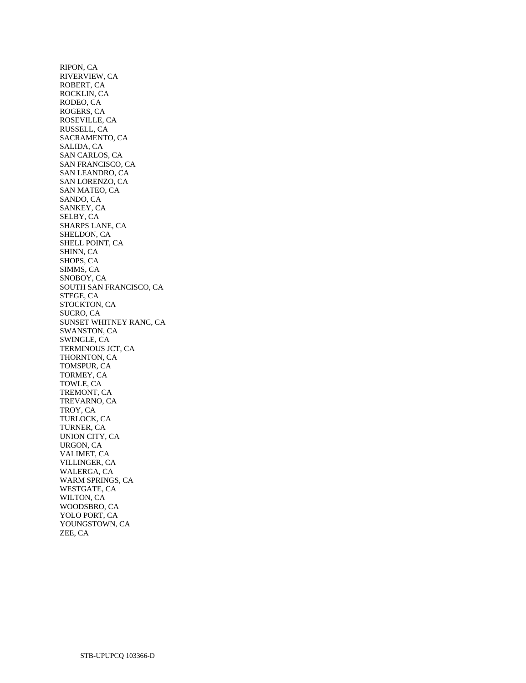RIPON, CA RIVERVIEW, CA ROBERT, CA ROCKLIN, CA RODEO, CA ROGERS, CA ROSEVILLE, CA RUSSELL, CA SACRAMENTO, CA SALIDA, CA SAN CARLOS, CA SAN FRANCISCO, CA SAN LEANDRO, CA SAN LORENZO, CA SAN MATEO, CA SANDO, CA SANKEY, CA SELBY, CA SHARPS LANE, CA SHELDON, CA SHELL POINT, CA SHINN, CA SHOPS, CA SIMMS, CA SNOBOY, CA SOUTH SAN FRANCISCO, CA STEGE, CA STOCKTON, CA SUCRO, CA SUNSET WHITNEY RANC, CA SWANSTON, CA SWINGLE, CA TERMINOUS JCT, CA THORNTON, CA TOMSPUR, CA TORMEY, CA TOWLE, CA TREMONT, CA TREVARNO, CA TROY, CA TURLOCK, CA TURNER, CA UNION CITY, CA URGON, CA VALIMET, CA VILLINGER, CA WALERGA, CA WARM SPRINGS, CA WESTGATE, CA WILTON, CA WOODSBRO, CA YOLO PORT, CA YOUNGSTOWN, CA ZEE, CA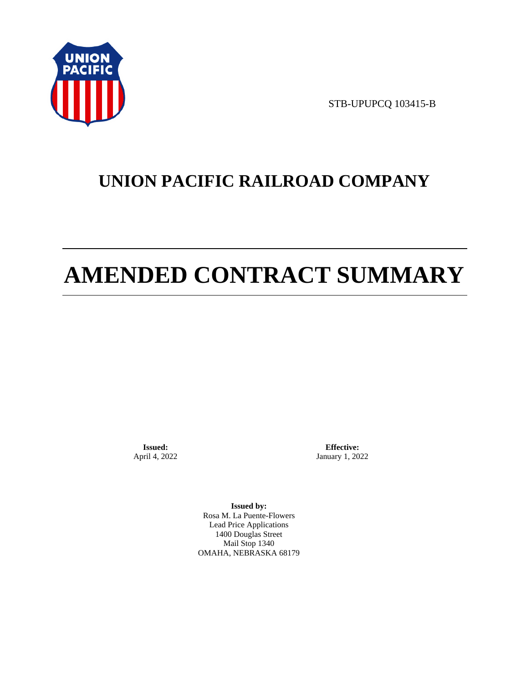

STB-UPUPCQ 103415-B

# **UNION PACIFIC RAILROAD COMPANY**

# **AMENDED CONTRACT SUMMARY**

**Issued:**  April 4, 2022

**Effective:** January 1, 2022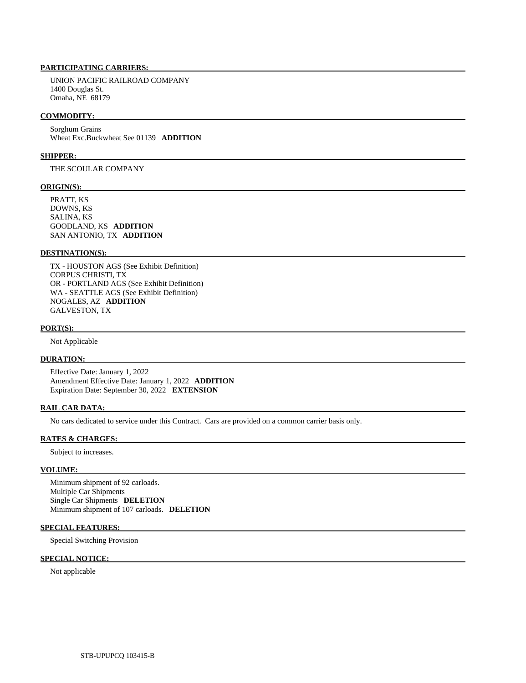UNION PACIFIC RAILROAD COMPANY 1400 Douglas St. Omaha, NE 68179

### **COMMODITY:**

 Sorghum Grains Wheat Exc.Buckwheat See 01139 **ADDITION** 

# **SHIPPER:**

THE SCOULAR COMPANY

# **ORIGIN(S):**

 PRATT, KS DOWNS, KS SALINA, KS GOODLAND, KS **ADDITION**  SAN ANTONIO, TX **ADDITION** 

# **DESTINATION(S):**

 TX - HOUSTON AGS (See Exhibit Definition) CORPUS CHRISTI, TX OR - PORTLAND AGS (See Exhibit Definition) WA - SEATTLE AGS (See Exhibit Definition) NOGALES, AZ **ADDITION**  GALVESTON, TX

#### **PORT(S):**

Not Applicable

# **DURATION:**

 Effective Date: January 1, 2022 Amendment Effective Date: January 1, 2022 **ADDITION**  Expiration Date: September 30, 2022 **EXTENSION** 

## **RAIL CAR DATA:**

No cars dedicated to service under this Contract. Cars are provided on a common carrier basis only.

#### **RATES & CHARGES:**

Subject to increases.

# **VOLUME:**

 Minimum shipment of 92 carloads. Multiple Car Shipments Single Car Shipments **DELETION**  Minimum shipment of 107 carloads. **DELETION** 

### **SPECIAL FEATURES:**

Special Switching Provision

# **SPECIAL NOTICE:**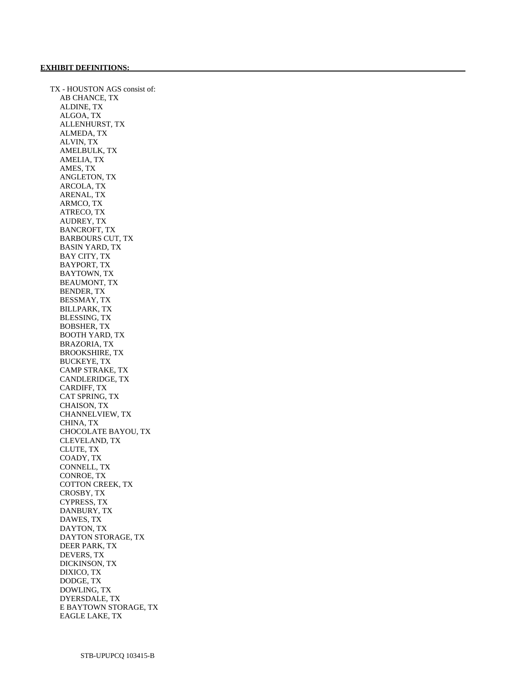TX - HOUSTON AGS consist of: AB CHANCE, TX ALDINE, TX ALGOA, TX ALLENHURST, TX ALMEDA, TX ALVIN, TX AMELBULK, TX AMELIA, TX AMES, TX ANGLETON, TX ARCOLA, TX ARENAL, TX ARMCO, TX ATRECO, TX AUDREY, TX BANCROFT, TX BARBOURS CUT, TX BASIN YARD, TX BAY CITY, TX BAYPORT, TX BAYTOWN, TX BEAUMONT, TX BENDER, TX BESSMAY, TX BILLPARK, TX BLESSING, TX BOBSHER, TX BOOTH YARD, TX BRAZORIA, TX BROOKSHIRE, TX BUCKEYE, TX CAMP STRAKE, TX CANDLERIDGE, TX CARDIFF, TX CAT SPRING, TX CHAISON, TX CHANNELVIEW, TX CHINA, TX CHOCOLATE BAYOU, TX CLEVELAND, TX CLUTE, TX COADY, TX CONNELL, TX CONROE, TX COTTON CREEK, TX CROSBY, TX CYPRESS, TX DANBURY, TX DAWES, TX DAYTON, TX DAYTON STORAGE, TX DEER PARK, TX DEVERS, TX DICKINSON, TX DIXICO, TX DODGE, TX DOWLING, TX DYERSDALE, TX E BAYTOWN STORAGE, TX EAGLE LAKE, TX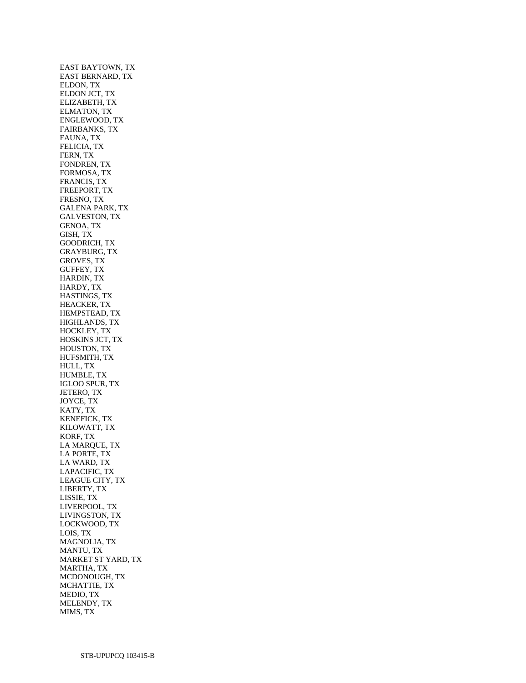EAST BAYTOWN, TX EAST BERNARD, TX ELDON, TX ELDON JCT, TX ELIZABETH, TX ELMATON, TX ENGLEWOOD, TX FAIRBANKS, TX FAUNA, TX FELICIA, TX FERN, TX FONDREN, TX FORMOSA, TX FRANCIS, TX FREEPORT, TX FRESNO, TX GALENA PARK, TX GALVESTON, TX GENOA, TX GISH, TX GOODRICH, TX GRAYBURG, TX GROVES, TX GUFFEY, TX HARDIN, TX HARDY, TX HASTINGS, TX HEACKER, TX HEMPSTEAD, TX HIGHLANDS, TX HOCKLEY, TX HOSKINS JCT, TX HOUSTON, TX HUFSMITH, TX HULL, TX HUMBLE, TX IGLOO SPUR, TX JETERO, TX JOYCE, TX KATY, TX KENEFICK, TX KILOWATT, TX KORF, TX LA MARQUE, TX LA PORTE, TX LA WARD, TX LAPACIFIC, TX LEAGUE CITY, TX LIBERTY, TX LISSIE, TX LIVERPOOL, TX LIVINGSTON, TX LOCKWOOD, TX LOIS, TX MAGNOLIA, TX MANTU, TX MARKET ST YARD, TX MARTHA, TX MCDONOUGH, TX MCHATTIE, TX MEDIO, TX MELENDY, TX MIMS, TX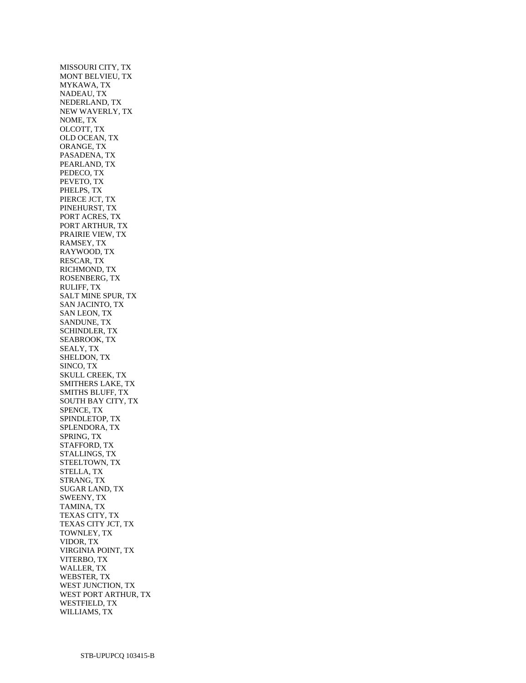MISSOURI CITY, TX MONT BELVIEU, TX MYKAWA, TX NADEAU, TX NEDERLAND, TX NEW WAVERLY, TX NOME, TX OLCOTT, TX OLD OCEAN, TX ORANGE, TX PASADENA, TX PEARLAND, TX PEDECO, TX PEVETO, TX PHELPS, TX PIERCE JCT, TX PINEHURST, TX PORT ACRES, TX PORT ARTHUR, TX PRAIRIE VIEW, TX RAMSEY, TX RAYWOOD, TX RESCAR, TX RICHMOND, TX ROSENBERG, TX RULIFF, TX SALT MINE SPUR, TX SAN JACINTO, TX SAN LEON, TX SANDUNE, TX SCHINDLER, TX SEABROOK, TX SEALY, TX SHELDON, TX SINCO, TX SKULL CREEK, TX SMITHERS LAKE, TX SMITHS BLUFF, TX SOUTH BAY CITY, TX SPENCE, TX SPINDLETOP, TX SPLENDORA, TX SPRING, TX STAFFORD, TX STALLINGS, TX STEELTOWN, TX STELLA, TX STRANG, TX SUGAR LAND, TX SWEENY, TX TAMINA, TX TEXAS CITY, TX TEXAS CITY JCT, TX TOWNLEY, TX VIDOR, TX VIRGINIA POINT, TX VITERBO, TX WALLER, TX WEBSTER, TX WEST JUNCTION, TX WEST PORT ARTHUR, TX WESTFIELD, TX WILLIAMS, TX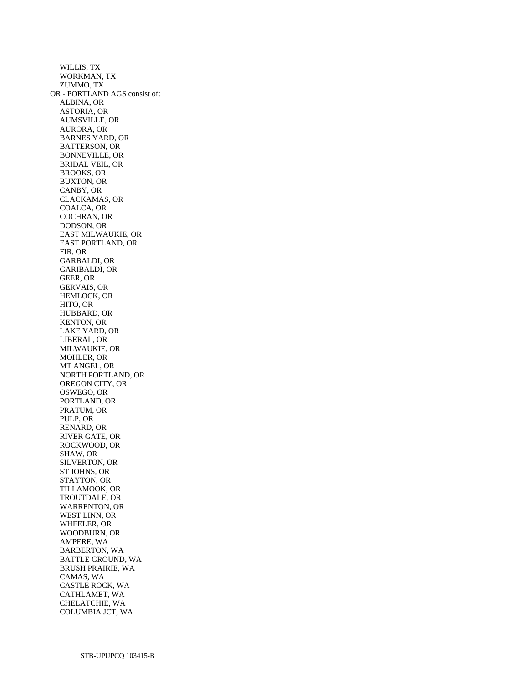WILLIS, TX WORKMAN, TX ZUMMO, TX OR - PORTLAND AGS consist of: ALBINA, OR ASTORIA, OR AUMSVILLE, OR AURORA, OR BARNES YARD, OR BATTERSON, OR BONNEVILLE, OR BRIDAL VEIL, OR BROOKS, OR BUXTON, OR CANBY, OR CLACKAMAS, OR COALCA, OR COCHRAN, OR DODSON, OR EAST MILWAUKIE, OR EAST PORTLAND, OR FIR, OR GARBALDI, OR GARIBALDI, OR GEER, OR GERVAIS, OR HEMLOCK, OR HITO, OR HUBBARD, OR KENTON, OR LAKE YARD, OR LIBERAL, OR MILWAUKIE, OR MOHLER, OR MT ANGEL, OR NORTH PORTLAND, OR OREGON CITY, OR OSWEGO, OR PORTLAND, OR PRATUM, OR PULP, OR RENARD, OR RIVER GATE, OR ROCKWOOD, OR SHAW, OR SILVERTON, OR ST JOHNS, OR STAYTON, OR TILLAMOOK, OR TROUTDALE, OR WARRENTON, OR WEST LINN, OR WHEELER, OR WOODBURN, OR AMPERE, WA BARBERTON, WA BATTLE GROUND, WA BRUSH PRAIRIE, WA CAMAS, WA CASTLE ROCK, WA CATHLAMET, WA CHELATCHIE, WA COLUMBIA JCT, WA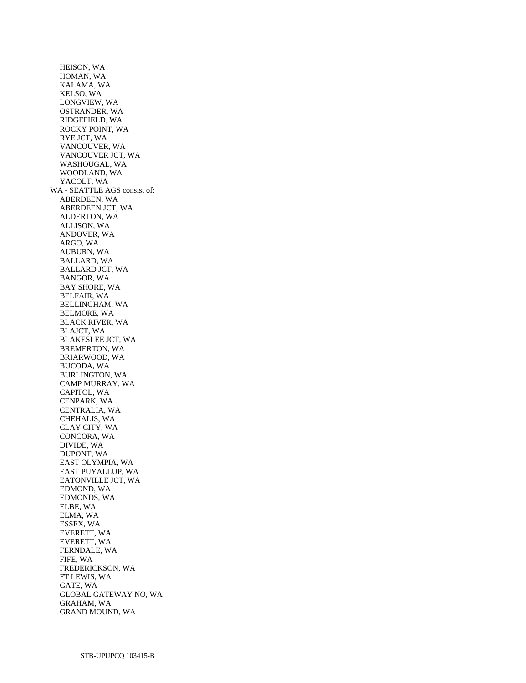HEISON, WA HOMAN, WA KALAMA, WA KELSO, WA LONGVIEW, WA OSTRANDER, WA RIDGEFIELD, WA ROCKY POINT, WA RYE JCT, WA VANCOUVER, WA VANCOUVER JCT, WA WASHOUGAL, WA WOODLAND, WA YACOLT, WA WA - SEATTLE AGS consist of: ABERDEEN, WA ABERDEEN JCT, WA ALDERTON, WA ALLISON, WA ANDOVER, WA ARGO, WA AUBURN, WA BALLARD, WA BALLARD JCT, WA BANGOR, WA BAY SHORE, WA BELFAIR, WA BELLINGHAM, WA BELMORE, WA BLACK RIVER, WA BLAJCT, WA BLAKESLEE JCT, WA BREMERTON, WA BRIARWOOD, WA BUCODA, WA BURLINGTON, WA CAMP MURRAY, WA CAPITOL, WA CENPARK, WA CENTRALIA, WA CHEHALIS, WA CLAY CITY, WA CONCORA, WA DIVIDE, WA DUPONT, WA EAST OLYMPIA, WA EAST PUYALLUP, WA EATONVILLE JCT, WA EDMOND, WA EDMONDS, WA ELBE, WA ELMA, WA ESSEX, WA EVERETT, WA EVERETT, WA FERNDALE, WA FIFE, WA FREDERICKSON, WA FT LEWIS, WA GATE, WA GLOBAL GATEWAY NO, WA GRAHAM, WA GRAND MOUND, WA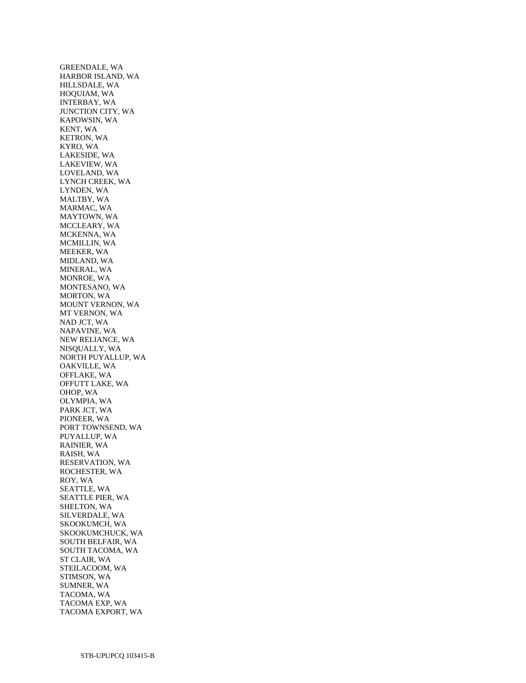GREENDALE, WA HARBOR ISLAND, WA HILLSDALE, WA HOQUIAM, WA INTERBAY, WA JUNCTION CITY, WA KAPOWSIN, WA KENT, WA KETRON, WA KYRO, WA LAKESIDE, WA LAKEVIEW, WA LOVELAND, WA LYNCH CREEK, WA LYNDEN, WA MALTBY, WA MARMAC, WA MAYTOWN, WA MCCLEARY, WA MCKENNA, WA MCMILLIN, WA MEEKER, WA MIDLAND, WA MINERAL, WA MONROE, WA MONTESANO, WA MORTON, WA MOUNT VERNON, WA MT VERNON, WA NAD JCT, WA NAPAVINE, WA NEW RELIANCE, WA NISQUALLY, WA NORTH PUYALLUP, WA OAKVILLE, WA OFFLAKE, WA OFFUTT LAKE, WA OHOP, WA OLYMPIA, WA PARK JCT, WA PIONEER, WA PORT TOWNSEND, WA PUYALLUP, WA RAINIER, WA RAISH, WA RESERVATION, WA ROCHESTER, WA ROY, WA SEATTLE, WA SEATTLE PIER, WA SHELTON, WA SILVERDALE, WA SKOOKUMCH, WA SKOOKUMCHUCK, WA SOUTH BELFAIR, WA SOUTH TACOMA, WA ST CLAIR, WA STEILACOOM, WA STIMSON, WA SUMNER, WA TACOMA, WA TACOMA EXP, WA TACOMA EXPORT, WA